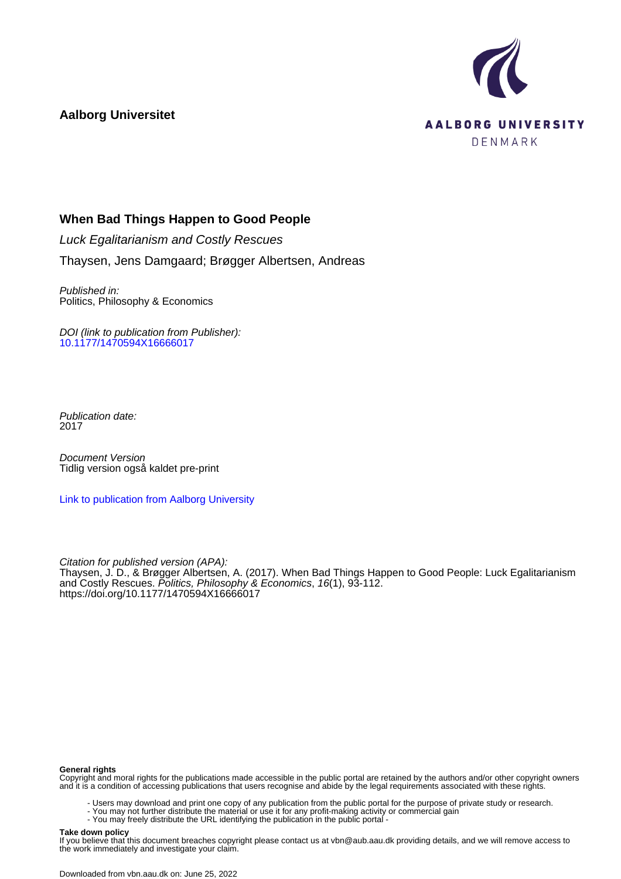

# **Aalborg Universitet**

# **When Bad Things Happen to Good People**

Luck Egalitarianism and Costly Rescues

Thaysen, Jens Damgaard; Brøgger Albertsen, Andreas

Published in: Politics, Philosophy & Economics

DOI (link to publication from Publisher): [10.1177/1470594X16666017](https://doi.org/10.1177/1470594X16666017)

Publication date: 2017

Document Version Tidlig version også kaldet pre-print

[Link to publication from Aalborg University](https://vbn.aau.dk/da/publications/279c8e26-ac11-44e4-a473-73683d7da5a2)

Citation for published version (APA): Thaysen, J. D., & Brøgger Albertsen, A. (2017). When Bad Things Happen to Good People: Luck Egalitarianism and Costly Rescues. Politics, Philosophy & Economics, 16(1), 93-112. <https://doi.org/10.1177/1470594X16666017>

#### **General rights**

Copyright and moral rights for the publications made accessible in the public portal are retained by the authors and/or other copyright owners and it is a condition of accessing publications that users recognise and abide by the legal requirements associated with these rights.

- Users may download and print one copy of any publication from the public portal for the purpose of private study or research.
- You may not further distribute the material or use it for any profit-making activity or commercial gain
	- You may freely distribute the URL identifying the publication in the public portal -

#### **Take down policy**

If you believe that this document breaches copyright please contact us at vbn@aub.aau.dk providing details, and we will remove access to the work immediately and investigate your claim.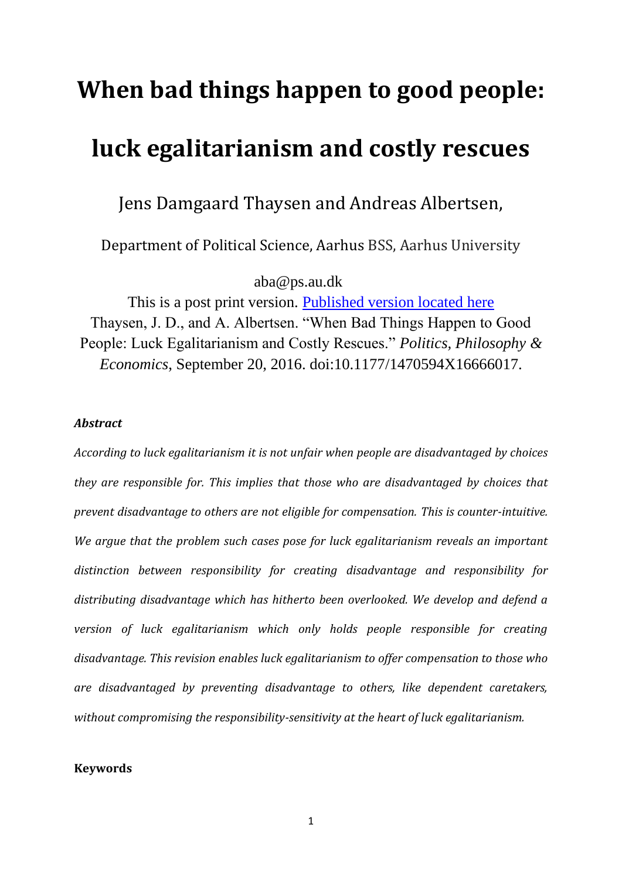# **When bad things happen to good people:**

# **luck egalitarianism and costly rescues**

# Jens Damgaard Thaysen and Andreas Albertsen,

Department of Political Science, Aarhus BSS, Aarhus University

aba@ps.au.dk

This is a post print version. [Published version located here](http://journals.sagepub.com/doi/full/10.1177/1470594X16666017) Thaysen, J. D., and A. Albertsen. "When Bad Things Happen to Good People: Luck Egalitarianism and Costly Rescues." *Politics, Philosophy & Economics*, September 20, 2016. doi:10.1177/1470594X16666017.

# *Abstract*

*According to luck egalitarianism it is not unfair when people are disadvantaged by choices they are responsible for. This implies that those who are disadvantaged by choices that prevent disadvantage to others are not eligible for compensation. This is counter-intuitive. We argue that the problem such cases pose for luck egalitarianism reveals an important distinction between responsibility for creating disadvantage and responsibility for distributing disadvantage which has hitherto been overlooked. We develop and defend a version of luck egalitarianism which only holds people responsible for creating disadvantage. This revision enables luck egalitarianism to offer compensation to those who are disadvantaged by preventing disadvantage to others, like dependent caretakers, without compromising the responsibility-sensitivity at the heart of luck egalitarianism.*

# **Keywords**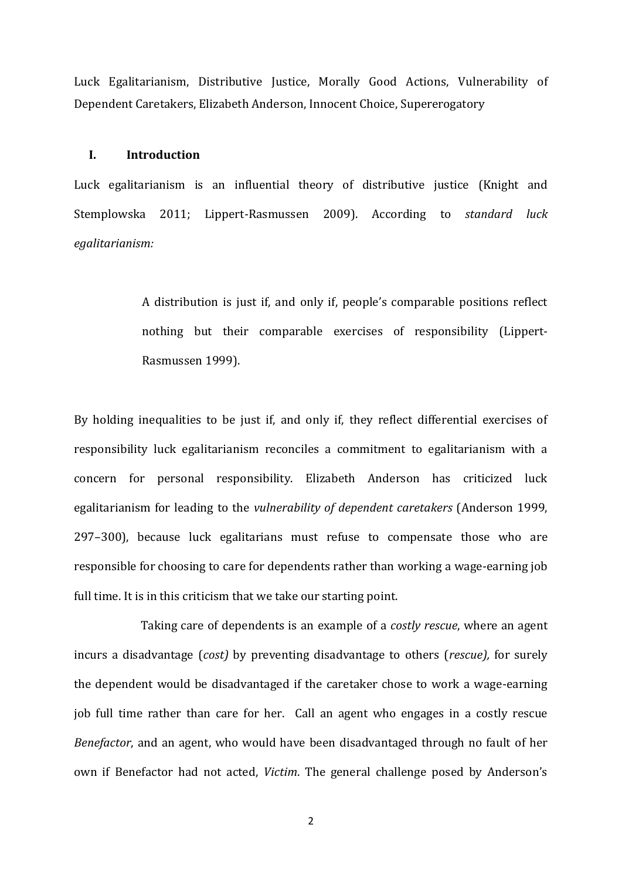Luck Egalitarianism, Distributive Justice, Morally Good Actions, Vulnerability of Dependent Caretakers, Elizabeth Anderson, Innocent Choice, Supererogatory

# **I. Introduction**

Luck egalitarianism is an influential theory of distributive justice (Knight and Stemplowska 2011; Lippert-Rasmussen 2009). According to *standard luck egalitarianism:* 

> A distribution is just if, and only if, people's comparable positions reflect nothing but their comparable exercises of responsibility (Lippert-Rasmussen 1999).

By holding inequalities to be just if, and only if, they reflect differential exercises of responsibility luck egalitarianism reconciles a commitment to egalitarianism with a concern for personal responsibility. Elizabeth Anderson has criticized luck egalitarianism for leading to the *vulnerability of dependent caretakers* (Anderson 1999, 297–300), because luck egalitarians must refuse to compensate those who are responsible for choosing to care for dependents rather than working a wage-earning job full time. It is in this criticism that we take our starting point.

Taking care of dependents is an example of a *costly rescue*, where an agent incurs a disadvantage (*cost)* by preventing disadvantage to others (*rescue),* for surely the dependent would be disadvantaged if the caretaker chose to work a wage-earning job full time rather than care for her. Call an agent who engages in a costly rescue *Benefactor*, and an agent, who would have been disadvantaged through no fault of her own if Benefactor had not acted, *Victim*. The general challenge posed by Anderson's

2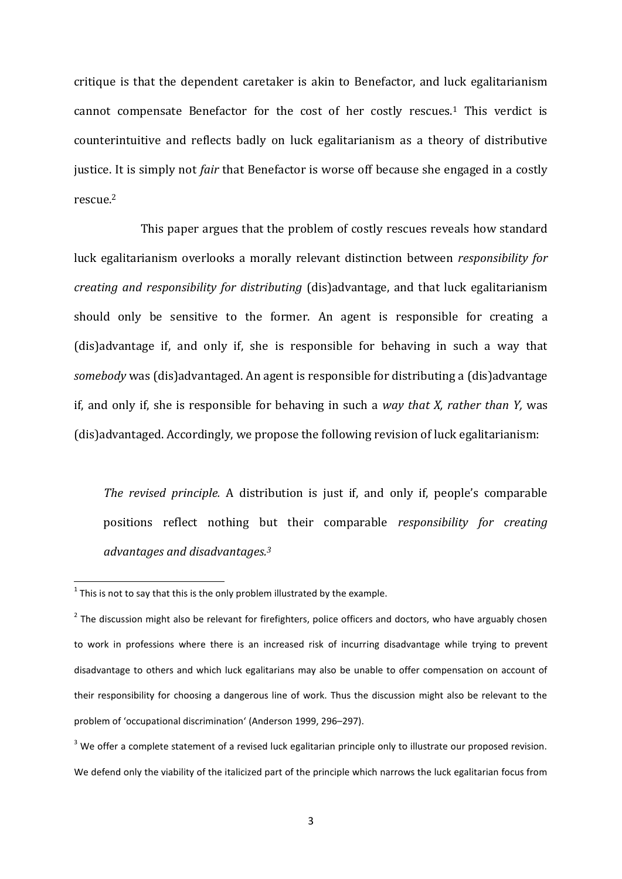critique is that the dependent caretaker is akin to Benefactor, and luck egalitarianism cannot compensate Benefactor for the cost of her costly rescues.<sup>1</sup> This verdict is counterintuitive and reflects badly on luck egalitarianism as a theory of distributive justice. It is simply not *fair* that Benefactor is worse off because she engaged in a costly rescue.<sup>2</sup>

This paper argues that the problem of costly rescues reveals how standard luck egalitarianism overlooks a morally relevant distinction between *responsibility for creating and responsibility for distributing* (dis)advantage, and that luck egalitarianism should only be sensitive to the former. An agent is responsible for creating a (dis)advantage if, and only if, she is responsible for behaving in such a way that *somebody* was (dis)advantaged. An agent is responsible for distributing a (dis)advantage if, and only if, she is responsible for behaving in such a *way that X, rather than Y,* was (dis)advantaged. Accordingly, we propose the following revision of luck egalitarianism:

*The revised principle.* A distribution is just if, and only if, people's comparable positions reflect nothing but their comparable *responsibility for creating advantages and disadvantages. 3*

l

 $^1$  This is not to say that this is the only problem illustrated by the example.

 $2$  The discussion might also be relevant for firefighters, police officers and doctors, who have arguably chosen to work in professions where there is an increased risk of incurring disadvantage while trying to prevent disadvantage to others and which luck egalitarians may also be unable to offer compensation on account of their responsibility for choosing a dangerous line of work. Thus the discussion might also be relevant to the problem of 'occupational discrimination' (Anderson 1999, 296–297).

 $3$  We offer a complete statement of a revised luck egalitarian principle only to illustrate our proposed revision. We defend only the viability of the italicized part of the principle which narrows the luck egalitarian focus from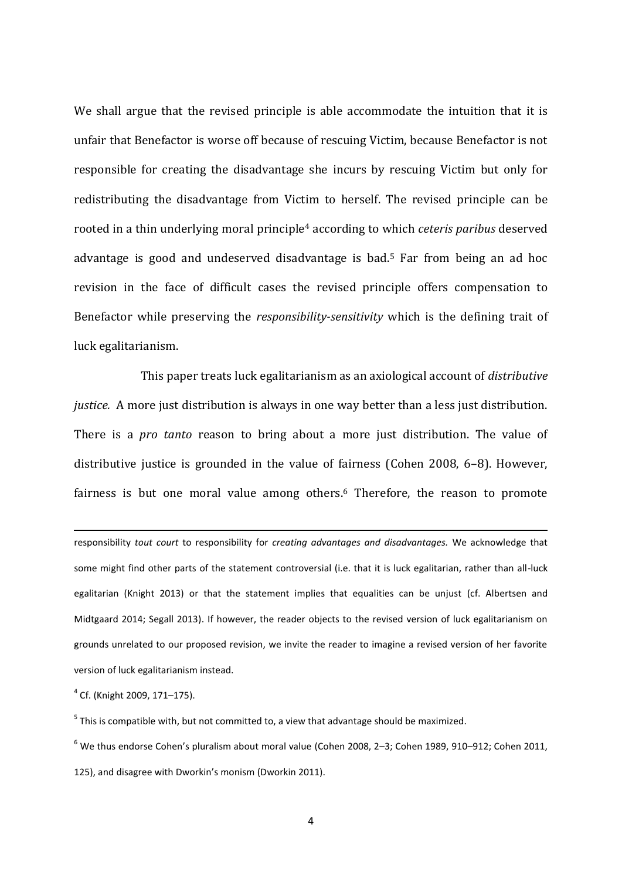We shall argue that the revised principle is able accommodate the intuition that it is unfair that Benefactor is worse off because of rescuing Victim, because Benefactor is not responsible for creating the disadvantage she incurs by rescuing Victim but only for redistributing the disadvantage from Victim to herself. The revised principle can be rooted in a thin underlying moral principle<sup>4</sup> according to which *ceteris paribus* deserved advantage is good and undeserved disadvantage is bad.<sup>5</sup> Far from being an ad hoc revision in the face of difficult cases the revised principle offers compensation to Benefactor while preserving the *responsibility-sensitivity* which is the defining trait of luck egalitarianism.

This paper treats luck egalitarianism as an axiological account of *distributive justice.* A more just distribution is always in one way better than a less just distribution. There is a *pro tanto* reason to bring about a more just distribution. The value of distributive justice is grounded in the value of fairness (Cohen 2008, 6–8). However, fairness is but one moral value among others. <sup>6</sup> Therefore, the reason to promote

responsibility *tout court* to responsibility for *creating advantages and disadvantages.* We acknowledge that some might find other parts of the statement controversial (i.e. that it is luck egalitarian, rather than all-luck egalitarian (Knight 2013) or that the statement implies that equalities can be unjust (cf. Albertsen and Midtgaard 2014; Segall 2013). If however, the reader objects to the revised version of luck egalitarianism on grounds unrelated to our proposed revision, we invite the reader to imagine a revised version of her favorite version of luck egalitarianism instead.

4 Cf. (Knight 2009, 171–175).

 $\overline{a}$ 

 $<sup>5</sup>$  This is compatible with, but not committed to, a view that advantage should be maximized.</sup>

 $6$  We thus endorse Cohen's pluralism about moral value (Cohen 2008, 2-3; Cohen 1989, 910-912; Cohen 2011, 125), and disagree with Dworkin's monism (Dworkin 2011).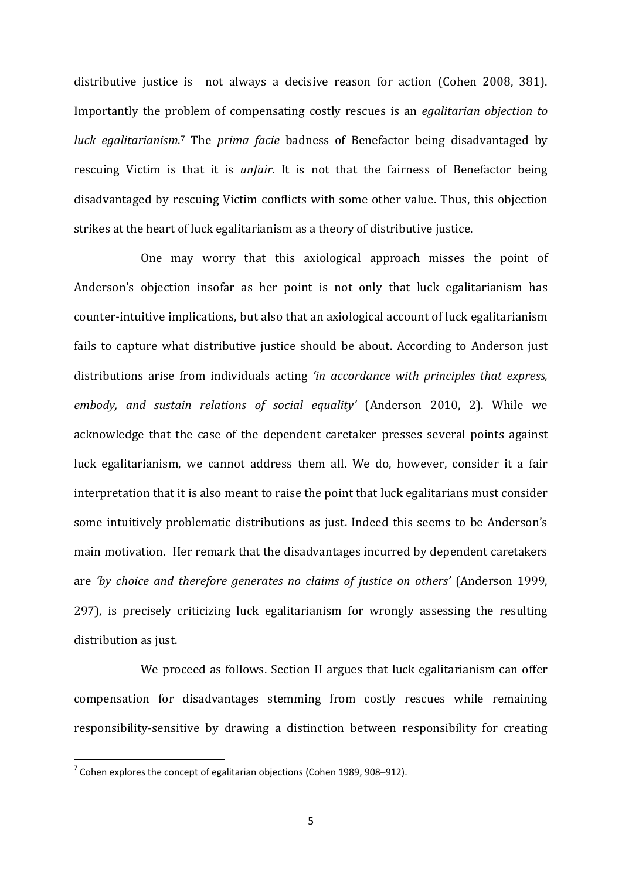distributive justice is not always a decisive reason for action (Cohen 2008, 381). Importantly the problem of compensating costly rescues is an *egalitarian objection to luck egalitarianism*. <sup>7</sup> The *prima facie* badness of Benefactor being disadvantaged by rescuing Victim is that it is *unfair.* It is not that the fairness of Benefactor being disadvantaged by rescuing Victim conflicts with some other value. Thus, this objection strikes at the heart of luck egalitarianism as a theory of distributive justice.

One may worry that this axiological approach misses the point of Anderson's objection insofar as her point is not only that luck egalitarianism has counter-intuitive implications, but also that an axiological account of luck egalitarianism fails to capture what distributive justice should be about. According to Anderson just distributions arise from individuals acting *'in accordance with principles that express, embody, and sustain relations of social equality'* (Anderson 2010, 2). While we acknowledge that the case of the dependent caretaker presses several points against luck egalitarianism, we cannot address them all. We do, however, consider it a fair interpretation that it is also meant to raise the point that luck egalitarians must consider some intuitively problematic distributions as just. Indeed this seems to be Anderson's main motivation. Her remark that the disadvantages incurred by dependent caretakers are *'by choice and therefore generates no claims of justice on others'* (Anderson 1999, 297), is precisely criticizing luck egalitarianism for wrongly assessing the resulting distribution as just.

We proceed as follows. Section II argues that luck egalitarianism can offer compensation for disadvantages stemming from costly rescues while remaining responsibility-sensitive by drawing a distinction between responsibility for creating

l

 $^7$  Cohen explores the concept of egalitarian objections (Cohen 1989, 908–912).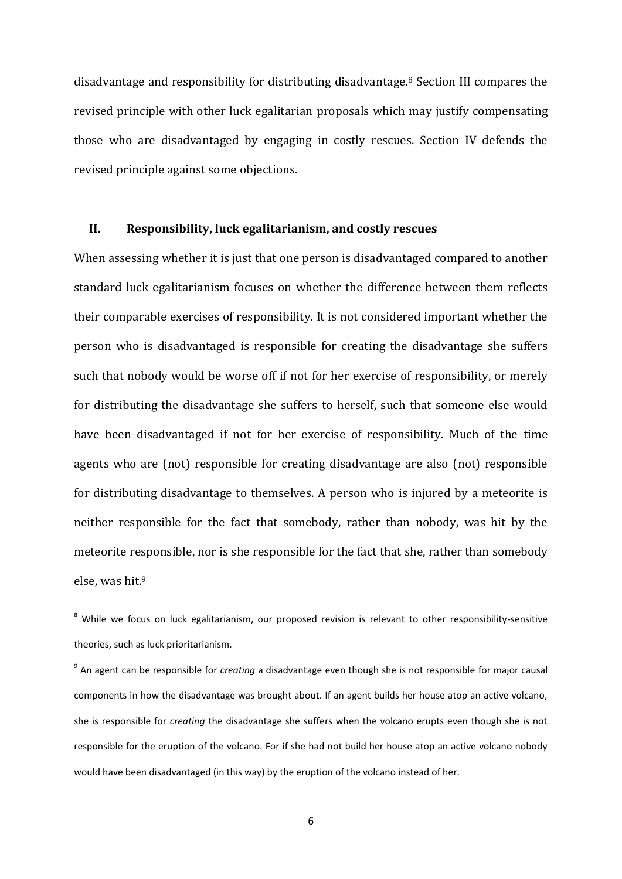disadvantage and responsibility for distributing disadvantage.<sup>8</sup> Section III compares the revised principle with other luck egalitarian proposals which may justify compensating those who are disadvantaged by engaging in costly rescues. Section IV defends the revised principle against some objections.

# **II. Responsibility, luck egalitarianism, and costly rescues**

When assessing whether it is just that one person is disadvantaged compared to another standard luck egalitarianism focuses on whether the difference between them reflects their comparable exercises of responsibility. It is not considered important whether the person who is disadvantaged is responsible for creating the disadvantage she suffers such that nobody would be worse off if not for her exercise of responsibility, or merely for distributing the disadvantage she suffers to herself, such that someone else would have been disadvantaged if not for her exercise of responsibility. Much of the time agents who are (not) responsible for creating disadvantage are also (not) responsible for distributing disadvantage to themselves. A person who is injured by a meteorite is neither responsible for the fact that somebody, rather than nobody, was hit by the meteorite responsible, nor is she responsible for the fact that she, rather than somebody else, was hit.<sup>9</sup>

 $\overline{\phantom{a}}$ 

9 An agent can be responsible for *creating* a disadvantage even though she is not responsible for major causal components in how the disadvantage was brought about. If an agent builds her house atop an active volcano, she is responsible for *creating* the disadvantage she suffers when the volcano erupts even though she is not responsible for the eruption of the volcano. For if she had not build her house atop an active volcano nobody would have been disadvantaged (in this way) by the eruption of the volcano instead of her.

<sup>&</sup>lt;sup>8</sup> While we focus on luck egalitarianism, our proposed revision is relevant to other responsibility-sensitive theories, such as luck prioritarianism.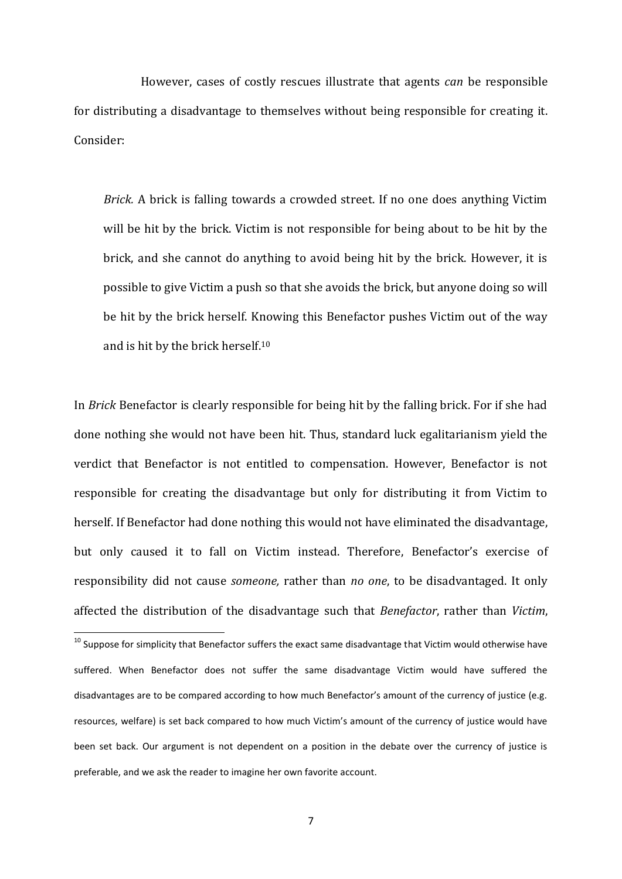However, cases of costly rescues illustrate that agents *can* be responsible for distributing a disadvantage to themselves without being responsible for creating it. Consider:

*Brick.* A brick is falling towards a crowded street. If no one does anything Victim will be hit by the brick. Victim is not responsible for being about to be hit by the brick, and she cannot do anything to avoid being hit by the brick. However, it is possible to give Victim a push so that she avoids the brick, but anyone doing so will be hit by the brick herself. Knowing this Benefactor pushes Victim out of the way and is hit by the brick herself.<sup>10</sup>

In *Brick* Benefactor is clearly responsible for being hit by the falling brick. For if she had done nothing she would not have been hit. Thus, standard luck egalitarianism yield the verdict that Benefactor is not entitled to compensation. However, Benefactor is not responsible for creating the disadvantage but only for distributing it from Victim to herself. If Benefactor had done nothing this would not have eliminated the disadvantage, but only caused it to fall on Victim instead. Therefore, Benefactor's exercise of responsibility did not cause *someone,* rather than *no one*, to be disadvantaged. It only affected the distribution of the disadvantage such that *Benefactor*, rather than *Victim*,

 $10$  Suppose for simplicity that Benefactor suffers the exact same disadvantage that Victim would otherwise have suffered. When Benefactor does not suffer the same disadvantage Victim would have suffered the disadvantages are to be compared according to how much Benefactor's amount of the currency of justice (e.g. resources, welfare) is set back compared to how much Victim's amount of the currency of justice would have been set back. Our argument is not dependent on a position in the debate over the currency of justice is preferable, and we ask the reader to imagine her own favorite account.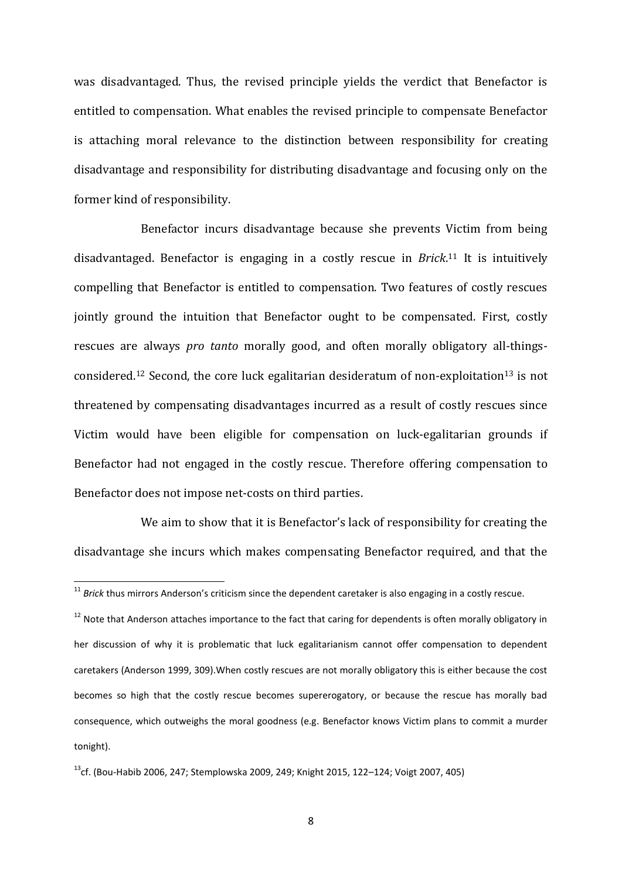was disadvantaged. Thus, the revised principle yields the verdict that Benefactor is entitled to compensation. What enables the revised principle to compensate Benefactor is attaching moral relevance to the distinction between responsibility for creating disadvantage and responsibility for distributing disadvantage and focusing only on the former kind of responsibility.

Benefactor incurs disadvantage because she prevents Victim from being disadvantaged. Benefactor is engaging in a costly rescue in *Brick*. <sup>11</sup> It is intuitively compelling that Benefactor is entitled to compensation. Two features of costly rescues jointly ground the intuition that Benefactor ought to be compensated. First, costly rescues are always *pro tanto* morally good, and often morally obligatory all-thingsconsidered.<sup>12</sup> Second, the core luck egalitarian desideratum of non-exploitation<sup>13</sup> is not threatened by compensating disadvantages incurred as a result of costly rescues since Victim would have been eligible for compensation on luck-egalitarian grounds if Benefactor had not engaged in the costly rescue. Therefore offering compensation to Benefactor does not impose net-costs on third parties.

We aim to show that it is Benefactor's lack of responsibility for creating the disadvantage she incurs which makes compensating Benefactor required, and that the

l

<sup>&</sup>lt;sup>11</sup> Brick thus mirrors Anderson's criticism since the dependent caretaker is also engaging in a costly rescue.

 $12$  Note that Anderson attaches importance to the fact that caring for dependents is often morally obligatory in her discussion of why it is problematic that luck egalitarianism cannot offer compensation to dependent caretakers (Anderson 1999, 309).When costly rescues are not morally obligatory this is either because the cost becomes so high that the costly rescue becomes supererogatory, or because the rescue has morally bad consequence, which outweighs the moral goodness (e.g. Benefactor knows Victim plans to commit a murder tonight).

<sup>13</sup>cf. (Bou-Habib 2006, 247; Stemplowska 2009, 249; Knight 2015, 122–124; Voigt 2007, 405)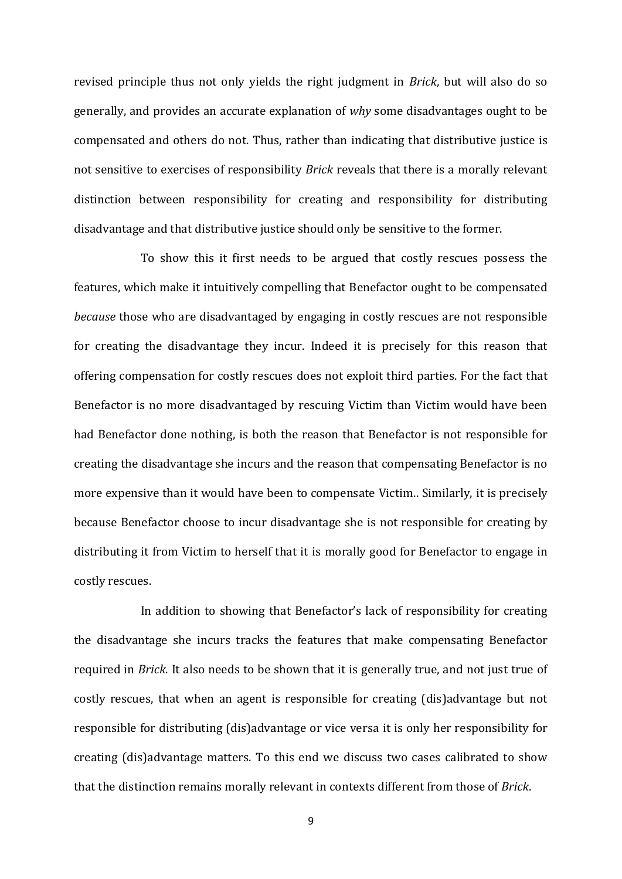revised principle thus not only yields the right judgment in *Brick*, but will also do so generally, and provides an accurate explanation of *why* some disadvantages ought to be compensated and others do not. Thus, rather than indicating that distributive justice is not sensitive to exercises of responsibility *Brick* reveals that there is a morally relevant distinction between responsibility for creating and responsibility for distributing disadvantage and that distributive justice should only be sensitive to the former.

To show this it first needs to be argued that costly rescues possess the features, which make it intuitively compelling that Benefactor ought to be compensated *because* those who are disadvantaged by engaging in costly rescues are not responsible for creating the disadvantage they incur. Indeed it is precisely for this reason that offering compensation for costly rescues does not exploit third parties. For the fact that Benefactor is no more disadvantaged by rescuing Victim than Victim would have been had Benefactor done nothing, is both the reason that Benefactor is not responsible for creating the disadvantage she incurs and the reason that compensating Benefactor is no more expensive than it would have been to compensate Victim.. Similarly, it is precisely because Benefactor choose to incur disadvantage she is not responsible for creating by distributing it from Victim to herself that it is morally good for Benefactor to engage in costly rescues.

In addition to showing that Benefactor's lack of responsibility for creating the disadvantage she incurs tracks the features that make compensating Benefactor required in *Brick*. It also needs to be shown that it is generally true, and not just true of costly rescues, that when an agent is responsible for creating (dis)advantage but not responsible for distributing (dis)advantage or vice versa it is only her responsibility for creating (dis)advantage matters. To this end we discuss two cases calibrated to show that the distinction remains morally relevant in contexts different from those of *Brick*.

9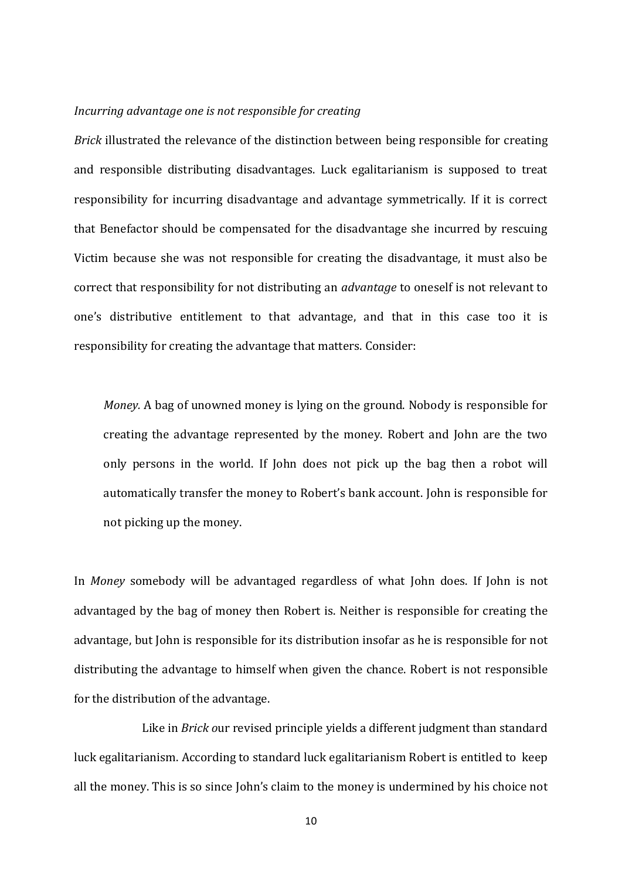# *Incurring advantage one is not responsible for creating*

*Brick* illustrated the relevance of the distinction between being responsible for creating and responsible distributing disadvantages. Luck egalitarianism is supposed to treat responsibility for incurring disadvantage and advantage symmetrically. If it is correct that Benefactor should be compensated for the disadvantage she incurred by rescuing Victim because she was not responsible for creating the disadvantage, it must also be correct that responsibility for not distributing an *advantage* to oneself is not relevant to one's distributive entitlement to that advantage, and that in this case too it is responsibility for creating the advantage that matters. Consider:

*Money.* A bag of unowned money is lying on the ground. Nobody is responsible for creating the advantage represented by the money. Robert and John are the two only persons in the world. If John does not pick up the bag then a robot will automatically transfer the money to Robert's bank account. John is responsible for not picking up the money.

In *Money* somebody will be advantaged regardless of what John does. If John is not advantaged by the bag of money then Robert is. Neither is responsible for creating the advantage, but John is responsible for its distribution insofar as he is responsible for not distributing the advantage to himself when given the chance. Robert is not responsible for the distribution of the advantage.

Like in *Brick o*ur revised principle yields a different judgment than standard luck egalitarianism. According to standard luck egalitarianism Robert is entitled to keep all the money. This is so since John's claim to the money is undermined by his choice not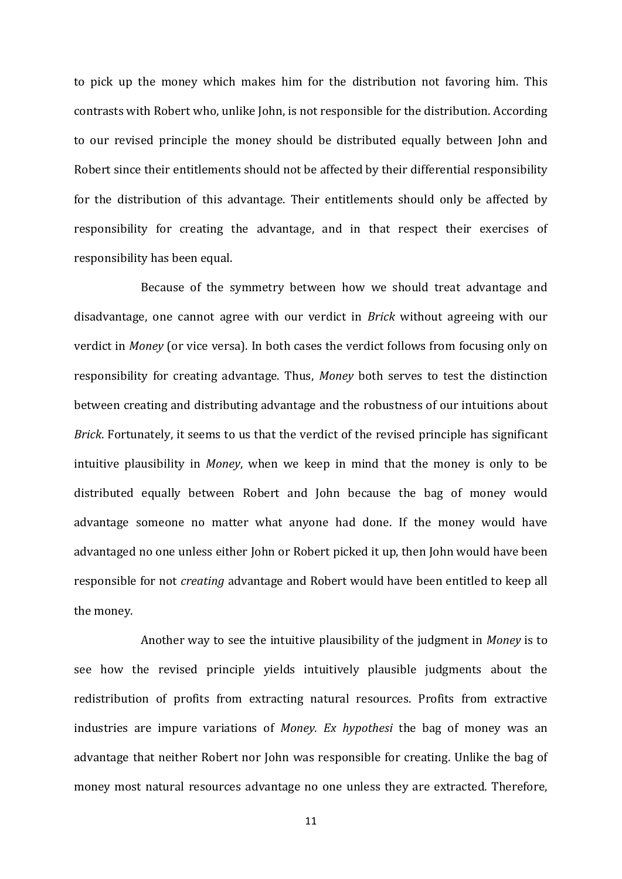to pick up the money which makes him for the distribution not favoring him. This contrasts with Robert who, unlike John, is not responsible for the distribution. According to our revised principle the money should be distributed equally between John and Robert since their entitlements should not be affected by their differential responsibility for the distribution of this advantage. Their entitlements should only be affected by responsibility for creating the advantage, and in that respect their exercises of responsibility has been equal.

Because of the symmetry between how we should treat advantage and disadvantage, one cannot agree with our verdict in *Brick* without agreeing with our verdict in *Money* (or vice versa). In both cases the verdict follows from focusing only on responsibility for creating advantage. Thus, *Money* both serves to test the distinction between creating and distributing advantage and the robustness of our intuitions about *Brick*. Fortunately, it seems to us that the verdict of the revised principle has significant intuitive plausibility in *Money*, when we keep in mind that the money is only to be distributed equally between Robert and John because the bag of money would advantage someone no matter what anyone had done. If the money would have advantaged no one unless either John or Robert picked it up, then John would have been responsible for not *creating* advantage and Robert would have been entitled to keep all the money.

Another way to see the intuitive plausibility of the judgment in *Money* is to see how the revised principle yields intuitively plausible judgments about the redistribution of profits from extracting natural resources. Profits from extractive industries are impure variations of *Money. Ex hypothesi* the bag of money was an advantage that neither Robert nor John was responsible for creating. Unlike the bag of money most natural resources advantage no one unless they are extracted. Therefore,

11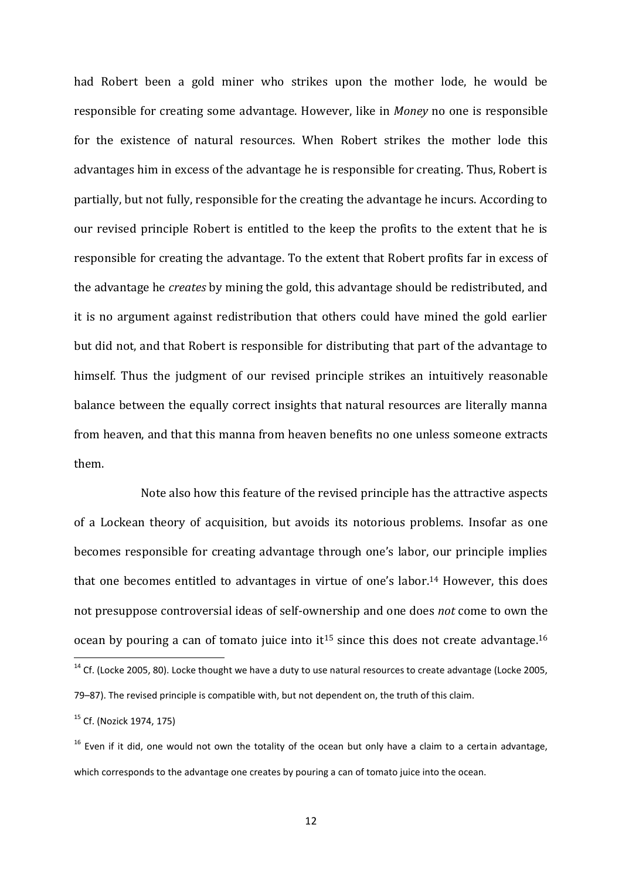had Robert been a gold miner who strikes upon the mother lode, he would be responsible for creating some advantage. However, like in *Money* no one is responsible for the existence of natural resources. When Robert strikes the mother lode this advantages him in excess of the advantage he is responsible for creating. Thus, Robert is partially, but not fully, responsible for the creating the advantage he incurs. According to our revised principle Robert is entitled to the keep the profits to the extent that he is responsible for creating the advantage. To the extent that Robert profits far in excess of the advantage he *creates* by mining the gold, this advantage should be redistributed, and it is no argument against redistribution that others could have mined the gold earlier but did not, and that Robert is responsible for distributing that part of the advantage to himself. Thus the judgment of our revised principle strikes an intuitively reasonable balance between the equally correct insights that natural resources are literally manna from heaven, and that this manna from heaven benefits no one unless someone extracts them.

Note also how this feature of the revised principle has the attractive aspects of a Lockean theory of acquisition, but avoids its notorious problems. Insofar as one becomes responsible for creating advantage through one's labor, our principle implies that one becomes entitled to advantages in virtue of one's labor.<sup>14</sup> However, this does not presuppose controversial ideas of self-ownership and one does *not* come to own the ocean by pouring a can of tomato juice into it<sup>15</sup> since this does not create advantage.<sup>16</sup>

 $14$  Cf. (Locke 2005, 80). Locke thought we have a duty to use natural resources to create advantage (Locke 2005, 79–87). The revised principle is compatible with, but not dependent on, the truth of this claim.

<sup>&</sup>lt;sup>15</sup> Cf. (Nozick 1974, 175)

 $16$  Even if it did, one would not own the totality of the ocean but only have a claim to a certain advantage, which corresponds to the advantage one creates by pouring a can of tomato juice into the ocean.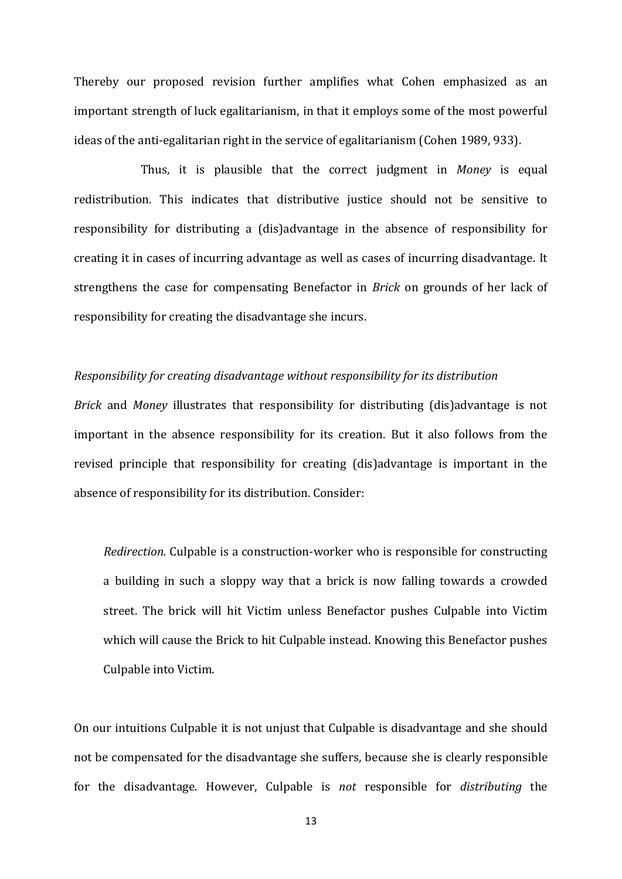Thereby our proposed revision further amplifies what Cohen emphasized as an important strength of luck egalitarianism, in that it employs some of the most powerful ideas of the anti-egalitarian right in the service of egalitarianism (Cohen 1989, 933).

Thus, it is plausible that the correct judgment in *Money* is equal redistribution. This indicates that distributive justice should not be sensitive to responsibility for distributing a (dis)advantage in the absence of responsibility for creating it in cases of incurring advantage as well as cases of incurring disadvantage. It strengthens the case for compensating Benefactor in *Brick* on grounds of her lack of responsibility for creating the disadvantage she incurs.

# *Responsibility for creating disadvantage without responsibility for its distribution*

*Brick* and *Money* illustrates that responsibility for distributing (dis)advantage is not important in the absence responsibility for its creation. But it also follows from the revised principle that responsibility for creating (dis)advantage is important in the absence of responsibility for its distribution. Consider:

*Redirection.* Culpable is a construction-worker who is responsible for constructing a building in such a sloppy way that a brick is now falling towards a crowded street. The brick will hit Victim unless Benefactor pushes Culpable into Victim which will cause the Brick to hit Culpable instead. Knowing this Benefactor pushes Culpable into Victim.

On our intuitions Culpable it is not unjust that Culpable is disadvantage and she should not be compensated for the disadvantage she suffers, because she is clearly responsible for the disadvantage. However, Culpable is *not* responsible for *distributing* the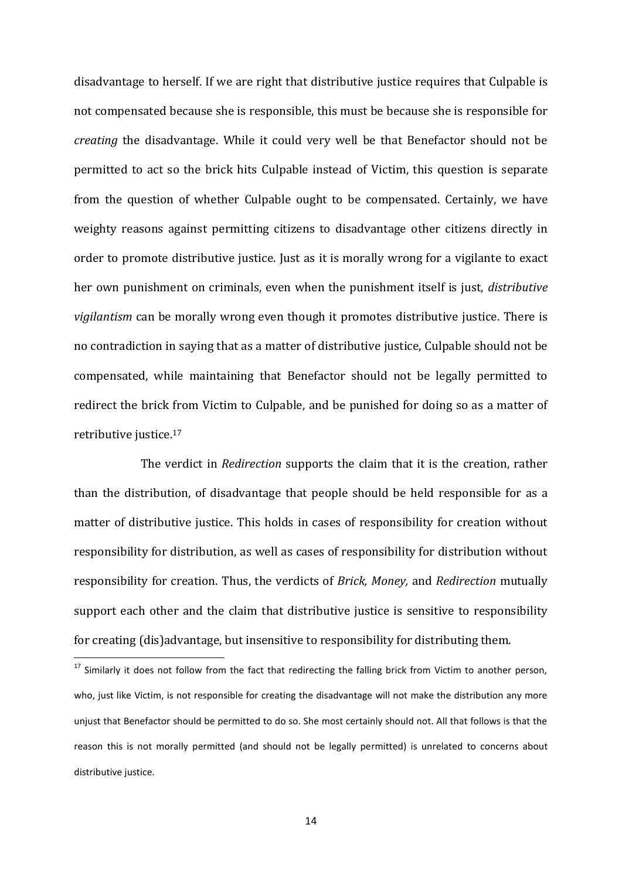disadvantage to herself. If we are right that distributive justice requires that Culpable is not compensated because she is responsible, this must be because she is responsible for *creating* the disadvantage. While it could very well be that Benefactor should not be permitted to act so the brick hits Culpable instead of Victim, this question is separate from the question of whether Culpable ought to be compensated. Certainly, we have weighty reasons against permitting citizens to disadvantage other citizens directly in order to promote distributive justice. Just as it is morally wrong for a vigilante to exact her own punishment on criminals, even when the punishment itself is just, *distributive vigilantism* can be morally wrong even though it promotes distributive justice. There is no contradiction in saying that as a matter of distributive justice, Culpable should not be compensated, while maintaining that Benefactor should not be legally permitted to redirect the brick from Victim to Culpable, and be punished for doing so as a matter of retributive justice.<sup>17</sup>

The verdict in *Redirection* supports the claim that it is the creation, rather than the distribution, of disadvantage that people should be held responsible for as a matter of distributive justice. This holds in cases of responsibility for creation without responsibility for distribution, as well as cases of responsibility for distribution without responsibility for creation. Thus, the verdicts of *Brick, Money,* and *Redirection* mutually support each other and the claim that distributive justice is sensitive to responsibility for creating (dis)advantage, but insensitive to responsibility for distributing them.

 $17$  Similarly it does not follow from the fact that redirecting the falling brick from Victim to another person, who, just like Victim, is not responsible for creating the disadvantage will not make the distribution any more unjust that Benefactor should be permitted to do so. She most certainly should not. All that follows is that the reason this is not morally permitted (and should not be legally permitted) is unrelated to concerns about distributive justice.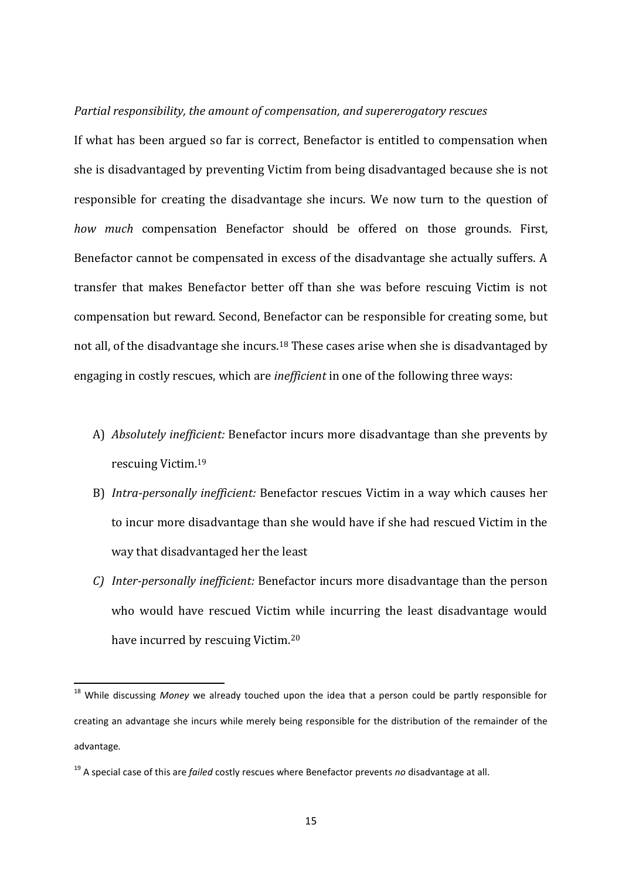## *Partial responsibility, the amount of compensation, and supererogatory rescues*

If what has been argued so far is correct, Benefactor is entitled to compensation when she is disadvantaged by preventing Victim from being disadvantaged because she is not responsible for creating the disadvantage she incurs. We now turn to the question of *how much* compensation Benefactor should be offered on those grounds. First, Benefactor cannot be compensated in excess of the disadvantage she actually suffers. A transfer that makes Benefactor better off than she was before rescuing Victim is not compensation but reward. Second, Benefactor can be responsible for creating some, but not all, of the disadvantage she incurs.<sup>18</sup> These cases arise when she is disadvantaged by engaging in costly rescues, which are *inefficient* in one of the following three ways:

- A) *Absolutely inefficient:* Benefactor incurs more disadvantage than she prevents by rescuing Victim.<sup>19</sup>
- B) *Intra-personally inefficient:* Benefactor rescues Victim in a way which causes her to incur more disadvantage than she would have if she had rescued Victim in the way that disadvantaged her the least
- *C) Inter-personally inefficient:* Benefactor incurs more disadvantage than the person who would have rescued Victim while incurring the least disadvantage would have incurred by rescuing Victim.<sup>20</sup>

<sup>18</sup> While discussing *Money* we already touched upon the idea that a person could be partly responsible for creating an advantage she incurs while merely being responsible for the distribution of the remainder of the advantage*.*

<sup>19</sup> A special case of this are *failed* costly rescues where Benefactor prevents *no* disadvantage at all.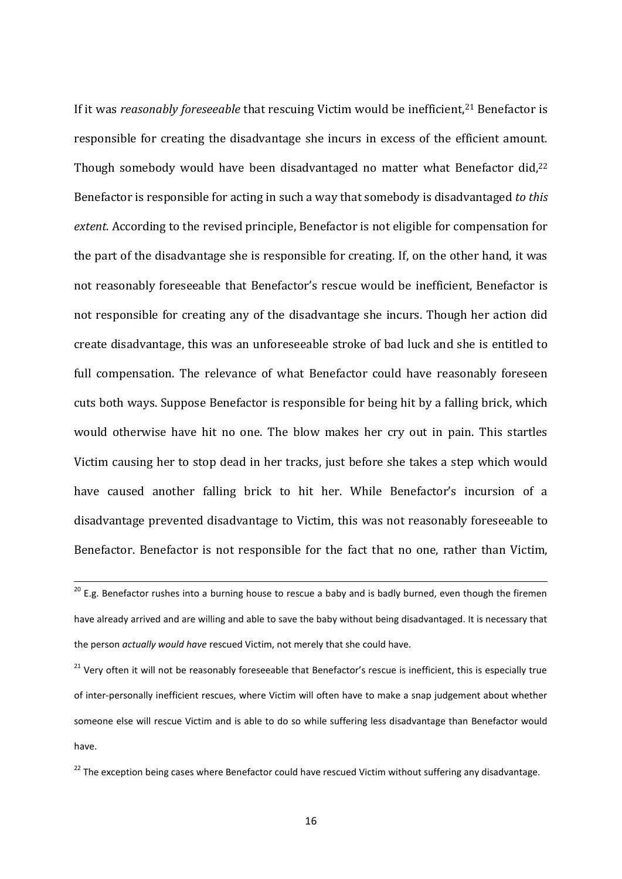If it was *reasonably foreseeable* that rescuing Victim would be inefficient,<sup>21</sup> Benefactor is responsible for creating the disadvantage she incurs in excess of the efficient amount. Though somebody would have been disadvantaged no matter what Benefactor did,<sup>22</sup> Benefactor is responsible for acting in such a way that somebody is disadvantaged *to this extent*. According to the revised principle, Benefactor is not eligible for compensation for the part of the disadvantage she is responsible for creating. If, on the other hand, it was not reasonably foreseeable that Benefactor's rescue would be inefficient, Benefactor is not responsible for creating any of the disadvantage she incurs. Though her action did create disadvantage, this was an unforeseeable stroke of bad luck and she is entitled to full compensation. The relevance of what Benefactor could have reasonably foreseen cuts both ways. Suppose Benefactor is responsible for being hit by a falling brick, which would otherwise have hit no one. The blow makes her cry out in pain. This startles Victim causing her to stop dead in her tracks, just before she takes a step which would have caused another falling brick to hit her. While Benefactor's incursion of a disadvantage prevented disadvantage to Victim, this was not reasonably foreseeable to Benefactor. Benefactor is not responsible for the fact that no one, rather than Victim,

l

<sup>22</sup> The exception being cases where Benefactor could have rescued Victim without suffering any disadvantage.

<sup>&</sup>lt;sup>20</sup> E.g. Benefactor rushes into a burning house to rescue a baby and is badly burned, even though the firemen have already arrived and are willing and able to save the baby without being disadvantaged. It is necessary that the person *actually would have* rescued Victim, not merely that she could have.

 $21$  Very often it will not be reasonably foreseeable that Benefactor's rescue is inefficient, this is especially true of inter-personally inefficient rescues, where Victim will often have to make a snap judgement about whether someone else will rescue Victim and is able to do so while suffering less disadvantage than Benefactor would have.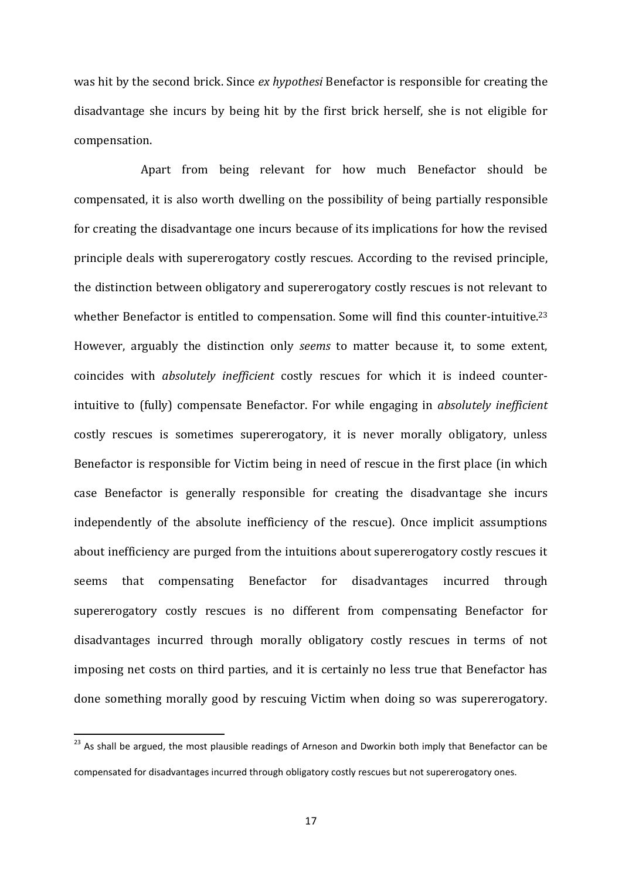was hit by the second brick. Since *ex hypothesi* Benefactor is responsible for creating the disadvantage she incurs by being hit by the first brick herself, she is not eligible for compensation.

Apart from being relevant for how much Benefactor should be compensated, it is also worth dwelling on the possibility of being partially responsible for creating the disadvantage one incurs because of its implications for how the revised principle deals with supererogatory costly rescues. According to the revised principle, the distinction between obligatory and supererogatory costly rescues is not relevant to whether Benefactor is entitled to compensation. Some will find this counter-intuitive.<sup>23</sup> However, arguably the distinction only *seems* to matter because it, to some extent, coincides with *absolutely inefficient* costly rescues for which it is indeed counterintuitive to (fully) compensate Benefactor. For while engaging in *absolutely inefficient* costly rescues is sometimes supererogatory, it is never morally obligatory, unless Benefactor is responsible for Victim being in need of rescue in the first place (in which case Benefactor is generally responsible for creating the disadvantage she incurs independently of the absolute inefficiency of the rescue). Once implicit assumptions about inefficiency are purged from the intuitions about supererogatory costly rescues it seems that compensating Benefactor for disadvantages incurred through supererogatory costly rescues is no different from compensating Benefactor for disadvantages incurred through morally obligatory costly rescues in terms of not imposing net costs on third parties, and it is certainly no less true that Benefactor has done something morally good by rescuing Victim when doing so was supererogatory.

 $\overline{a}$ 

<sup>&</sup>lt;sup>23</sup> As shall be argued, the most plausible readings of Arneson and Dworkin both imply that Benefactor can be compensated for disadvantages incurred through obligatory costly rescues but not supererogatory ones.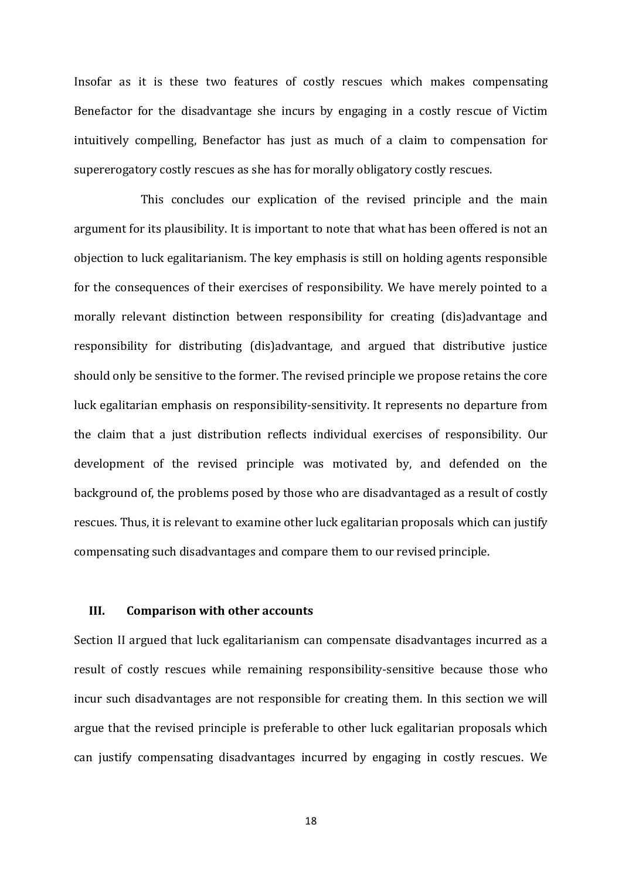Insofar as it is these two features of costly rescues which makes compensating Benefactor for the disadvantage she incurs by engaging in a costly rescue of Victim intuitively compelling, Benefactor has just as much of a claim to compensation for supererogatory costly rescues as she has for morally obligatory costly rescues.

This concludes our explication of the revised principle and the main argument for its plausibility. It is important to note that what has been offered is not an objection to luck egalitarianism. The key emphasis is still on holding agents responsible for the consequences of their exercises of responsibility. We have merely pointed to a morally relevant distinction between responsibility for creating (dis)advantage and responsibility for distributing (dis)advantage, and argued that distributive justice should only be sensitive to the former. The revised principle we propose retains the core luck egalitarian emphasis on responsibility-sensitivity. It represents no departure from the claim that a just distribution reflects individual exercises of responsibility. Our development of the revised principle was motivated by, and defended on the background of, the problems posed by those who are disadvantaged as a result of costly rescues. Thus, it is relevant to examine other luck egalitarian proposals which can justify compensating such disadvantages and compare them to our revised principle.

# **III. Comparison with other accounts**

Section II argued that luck egalitarianism can compensate disadvantages incurred as a result of costly rescues while remaining responsibility-sensitive because those who incur such disadvantages are not responsible for creating them. In this section we will argue that the revised principle is preferable to other luck egalitarian proposals which can justify compensating disadvantages incurred by engaging in costly rescues. We

18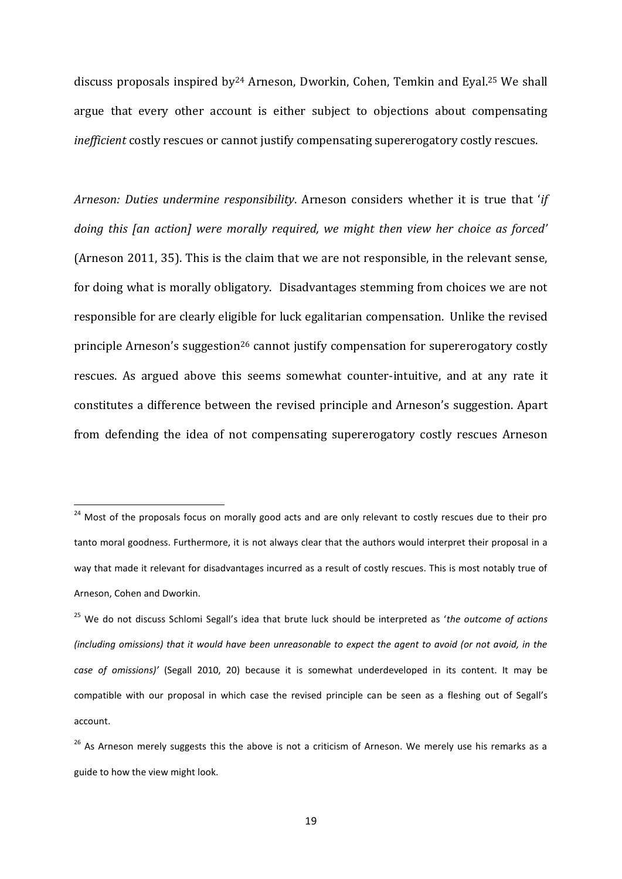discuss proposals inspired by<sup>24</sup> Arneson, Dworkin, Cohen, Temkin and Eyal.<sup>25</sup> We shall argue that every other account is either subject to objections about compensating *inefficient* costly rescues or cannot justify compensating supererogatory costly rescues.

*Arneson: Duties undermine responsibility*. Arneson considers whether it is true that '*if doing this [an action] were morally required, we might then view her choice as forced'*  (Arneson 2011, 35). This is the claim that we are not responsible, in the relevant sense, for doing what is morally obligatory. Disadvantages stemming from choices we are not responsible for are clearly eligible for luck egalitarian compensation. Unlike the revised principle Arneson's suggestion<sup>26</sup> cannot justify compensation for supererogatory costly rescues. As argued above this seems somewhat counter-intuitive, and at any rate it constitutes a difference between the revised principle and Arneson's suggestion. Apart from defending the idea of not compensating supererogatory costly rescues Arneson

<sup>&</sup>lt;sup>24</sup> Most of the proposals focus on morally good acts and are only relevant to costly rescues due to their pro tanto moral goodness. Furthermore, it is not always clear that the authors would interpret their proposal in a way that made it relevant for disadvantages incurred as a result of costly rescues. This is most notably true of Arneson, Cohen and Dworkin.

<sup>25</sup> We do not discuss Schlomi Segall's idea that brute luck should be interpreted as '*the outcome of actions (including omissions) that it would have been unreasonable to expect the agent to avoid (or not avoid, in the case of omissions)'* (Segall 2010, 20) because it is somewhat underdeveloped in its content. It may be compatible with our proposal in which case the revised principle can be seen as a fleshing out of Segall's account.

 $26$  As Arneson merely suggests this the above is not a criticism of Arneson. We merely use his remarks as a guide to how the view might look.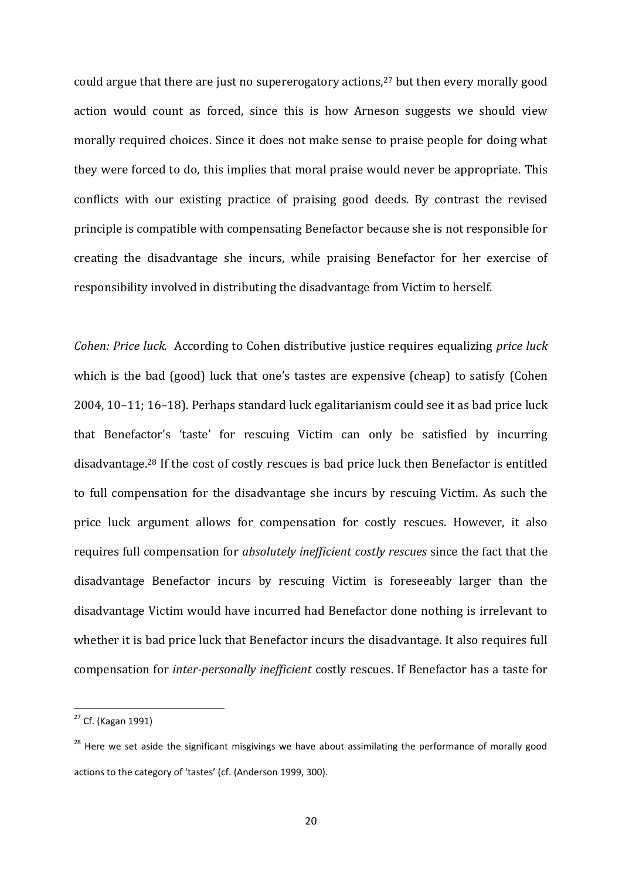could argue that there are just no supererogatory actions,<sup>27</sup> but then every morally good action would count as forced, since this is how Arneson suggests we should view morally required choices. Since it does not make sense to praise people for doing what they were forced to do, this implies that moral praise would never be appropriate. This conflicts with our existing practice of praising good deeds. By contrast the revised principle is compatible with compensating Benefactor because she is not responsible for creating the disadvantage she incurs, while praising Benefactor for her exercise of responsibility involved in distributing the disadvantage from Victim to herself.

*Cohen: Price luck.* According to Cohen distributive justice requires equalizing *price luck* which is the bad (good) luck that one's tastes are expensive (cheap) to satisfy (Cohen 2004, 10–11; 16–18). Perhaps standard luck egalitarianism could see it as bad price luck that Benefactor's 'taste' for rescuing Victim can only be satisfied by incurring disadvantage.<sup>28</sup> If the cost of costly rescues is bad price luck then Benefactor is entitled to full compensation for the disadvantage she incurs by rescuing Victim. As such the price luck argument allows for compensation for costly rescues. However, it also requires full compensation for *absolutely inefficient costly rescues* since the fact that the disadvantage Benefactor incurs by rescuing Victim is foreseeably larger than the disadvantage Victim would have incurred had Benefactor done nothing is irrelevant to whether it is bad price luck that Benefactor incurs the disadvantage. It also requires full compensation for *inter-personally inefficient* costly rescues. If Benefactor has a taste for

 $\overline{a}$ 

<sup>&</sup>lt;sup>27</sup> Cf. (Kagan 1991)

<sup>&</sup>lt;sup>28</sup> Here we set aside the significant misgivings we have about assimilating the performance of morally good actions to the category of 'tastes' (cf. (Anderson 1999, 300).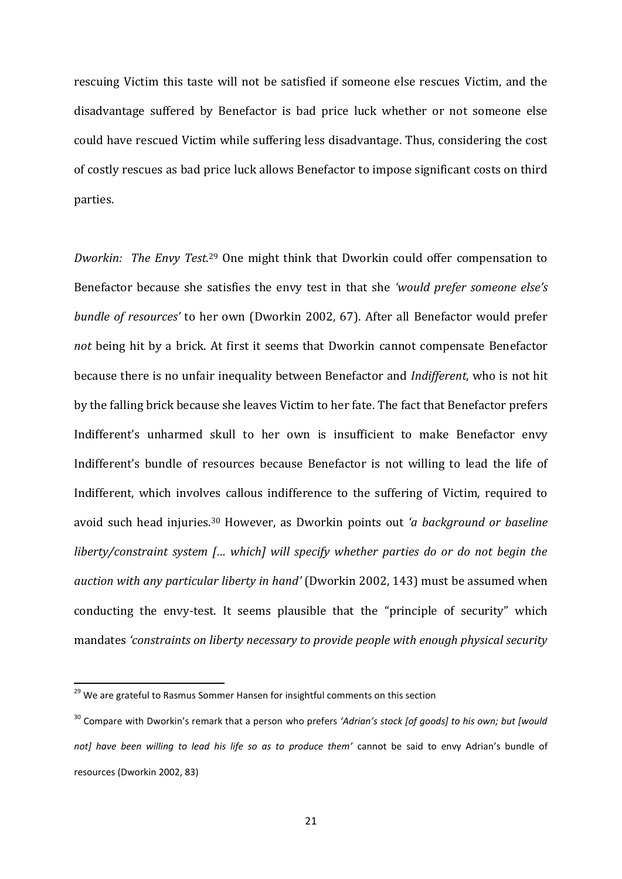rescuing Victim this taste will not be satisfied if someone else rescues Victim, and the disadvantage suffered by Benefactor is bad price luck whether or not someone else could have rescued Victim while suffering less disadvantage. Thus, considering the cost of costly rescues as bad price luck allows Benefactor to impose significant costs on third parties.

*Dworkin: The Envy Test.*<sup>29</sup> One might think that Dworkin could offer compensation to Benefactor because she satisfies the envy test in that she *'would prefer someone else's bundle of resources'* to her own (Dworkin 2002, 67). After all Benefactor would prefer *not* being hit by a brick. At first it seems that Dworkin cannot compensate Benefactor because there is no unfair inequality between Benefactor and *Indifferent*, who is not hit by the falling brick because she leaves Victim to her fate. The fact that Benefactor prefers Indifferent's unharmed skull to her own is insufficient to make Benefactor envy Indifferent's bundle of resources because Benefactor is not willing to lead the life of Indifferent, which involves callous indifference to the suffering of Victim, required to avoid such head injuries.<sup>30</sup> However, as Dworkin points out *'a background or baseline liberty/constraint system [… which] will specify whether parties do or do not begin the auction with any particular liberty in hand'* (Dworkin 2002, 143) must be assumed when conducting the envy-test. It seems plausible that the "principle of security" which mandates *'constraints on liberty necessary to provide people with enough physical security* 

<sup>&</sup>lt;sup>29</sup> We are grateful to Rasmus Sommer Hansen for insightful comments on this section

<sup>30</sup> Compare with Dworkin's remark that a person who prefers *'Adrian's stock [of goods] to his own; but [would not] have been willing to lead his life so as to produce them'* cannot be said to envy Adrian's bundle of resources (Dworkin 2002, 83)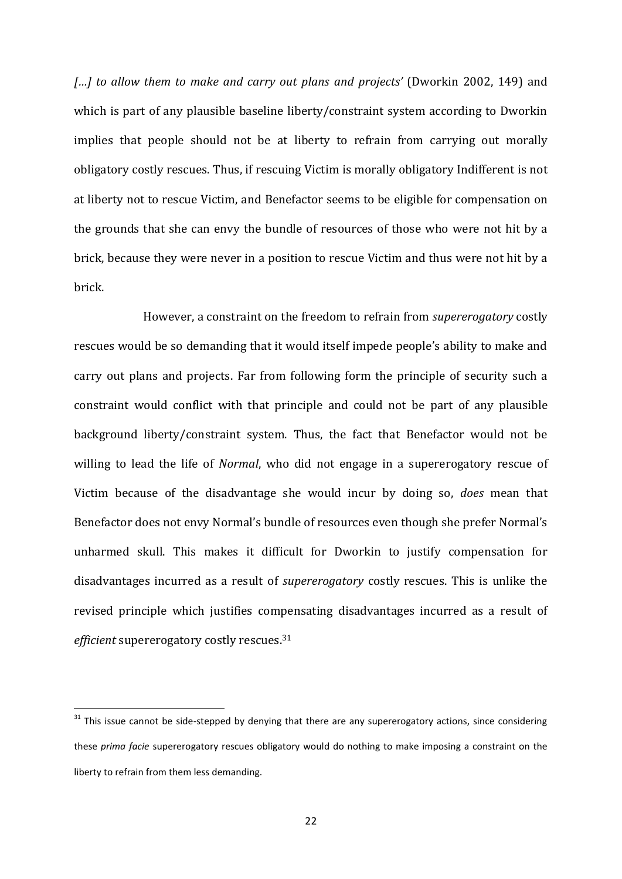*[…] to allow them to make and carry out plans and projects'* (Dworkin 2002, 149) and which is part of any plausible baseline liberty/constraint system according to Dworkin implies that people should not be at liberty to refrain from carrying out morally obligatory costly rescues. Thus, if rescuing Victim is morally obligatory Indifferent is not at liberty not to rescue Victim, and Benefactor seems to be eligible for compensation on the grounds that she can envy the bundle of resources of those who were not hit by a brick, because they were never in a position to rescue Victim and thus were not hit by a brick.

However, a constraint on the freedom to refrain from *supererogatory* costly rescues would be so demanding that it would itself impede people's ability to make and carry out plans and projects. Far from following form the principle of security such a constraint would conflict with that principle and could not be part of any plausible background liberty/constraint system. Thus, the fact that Benefactor would not be willing to lead the life of *Normal*, who did not engage in a supererogatory rescue of Victim because of the disadvantage she would incur by doing so, *does* mean that Benefactor does not envy Normal's bundle of resources even though she prefer Normal's unharmed skull. This makes it difficult for Dworkin to justify compensation for disadvantages incurred as a result of *supererogatory* costly rescues. This is unlike the revised principle which justifies compensating disadvantages incurred as a result of *efficient* supererogatory costly rescues.<sup>31</sup>

 $\overline{a}$ 

 $31$  This issue cannot be side-stepped by denying that there are any supererogatory actions, since considering these *prima facie* supererogatory rescues obligatory would do nothing to make imposing a constraint on the liberty to refrain from them less demanding.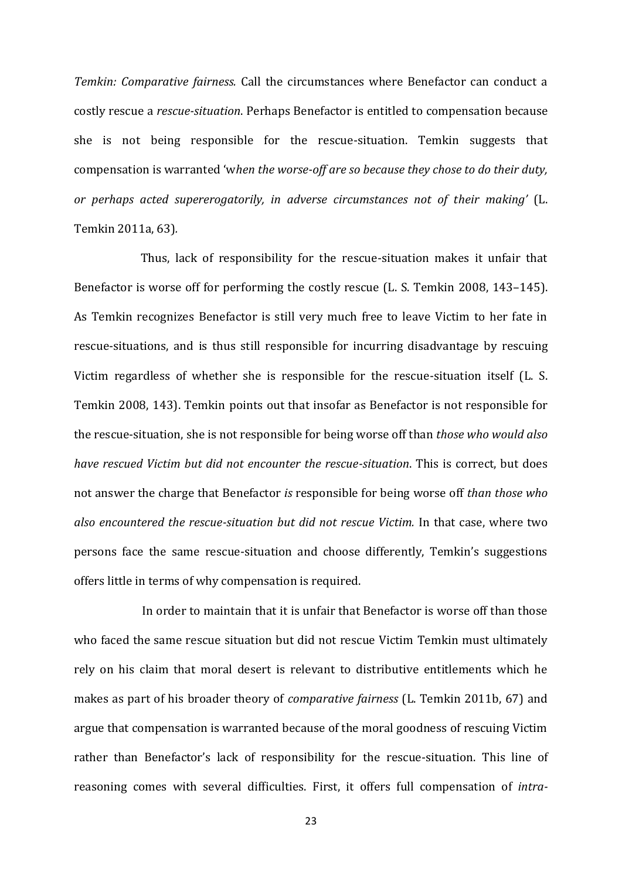*Temkin: Comparative fairness.* Call the circumstances where Benefactor can conduct a costly rescue a *rescue-situation*. Perhaps Benefactor is entitled to compensation because she is not being responsible for the rescue-situation. Temkin suggests that compensation is warranted 'w*hen the worse-off are so because they chose to do their duty, or perhaps acted supererogatorily, in adverse circumstances not of their making'* (L. Temkin 2011a, 63)*.* 

Thus, lack of responsibility for the rescue-situation makes it unfair that Benefactor is worse off for performing the costly rescue (L. S. Temkin 2008, 143–145). As Temkin recognizes Benefactor is still very much free to leave Victim to her fate in rescue-situations, and is thus still responsible for incurring disadvantage by rescuing Victim regardless of whether she is responsible for the rescue-situation itself (L. S. Temkin 2008, 143). Temkin points out that insofar as Benefactor is not responsible for the rescue-situation, she is not responsible for being worse off than *those who would also have rescued Victim but did not encounter the rescue-situation*. This is correct, but does not answer the charge that Benefactor *is* responsible for being worse off *than those who also encountered the rescue-situation but did not rescue Victim.* In that case, where two persons face the same rescue-situation and choose differently, Temkin's suggestions offers little in terms of why compensation is required.

In order to maintain that it is unfair that Benefactor is worse off than those who faced the same rescue situation but did not rescue Victim Temkin must ultimately rely on his claim that moral desert is relevant to distributive entitlements which he makes as part of his broader theory of *comparative fairness* (L. Temkin 2011b, 67) and argue that compensation is warranted because of the moral goodness of rescuing Victim rather than Benefactor's lack of responsibility for the rescue-situation. This line of reasoning comes with several difficulties. First, it offers full compensation of *intra-*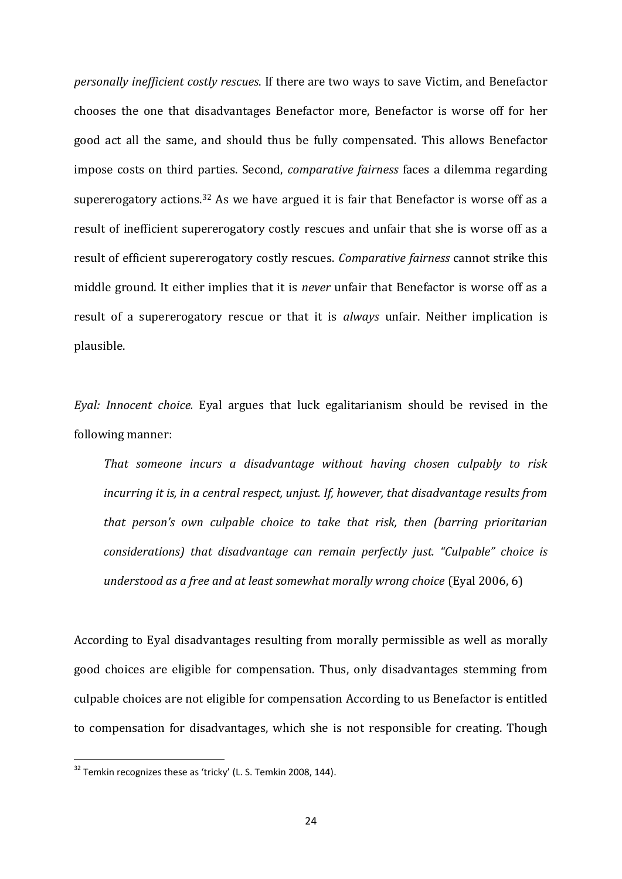*personally inefficient costly rescues*. If there are two ways to save Victim, and Benefactor chooses the one that disadvantages Benefactor more, Benefactor is worse off for her good act all the same, and should thus be fully compensated. This allows Benefactor impose costs on third parties. Second, *comparative fairness* faces a dilemma regarding supererogatory actions.<sup>32</sup> As we have argued it is fair that Benefactor is worse off as a result of inefficient supererogatory costly rescues and unfair that she is worse off as a result of efficient supererogatory costly rescues. *Comparative fairness* cannot strike this middle ground. It either implies that it is *never* unfair that Benefactor is worse off as a result of a supererogatory rescue or that it is *always* unfair. Neither implication is plausible.

*Eyal: Innocent choice.* Eyal argues that luck egalitarianism should be revised in the following manner:

*That someone incurs a disadvantage without having chosen culpably to risk incurring it is, in a central respect, unjust. If, however, that disadvantage results from that person's own culpable choice to take that risk, then (barring prioritarian considerations) that disadvantage can remain perfectly just. "Culpable" choice is understood as a free and at least somewhat morally wrong choice* (Eyal 2006, 6)

According to Eyal disadvantages resulting from morally permissible as well as morally good choices are eligible for compensation. Thus, only disadvantages stemming from culpable choices are not eligible for compensation According to us Benefactor is entitled to compensation for disadvantages, which she is not responsible for creating. Though

l

 $32$  Temkin recognizes these as 'tricky' (L. S. Temkin 2008, 144).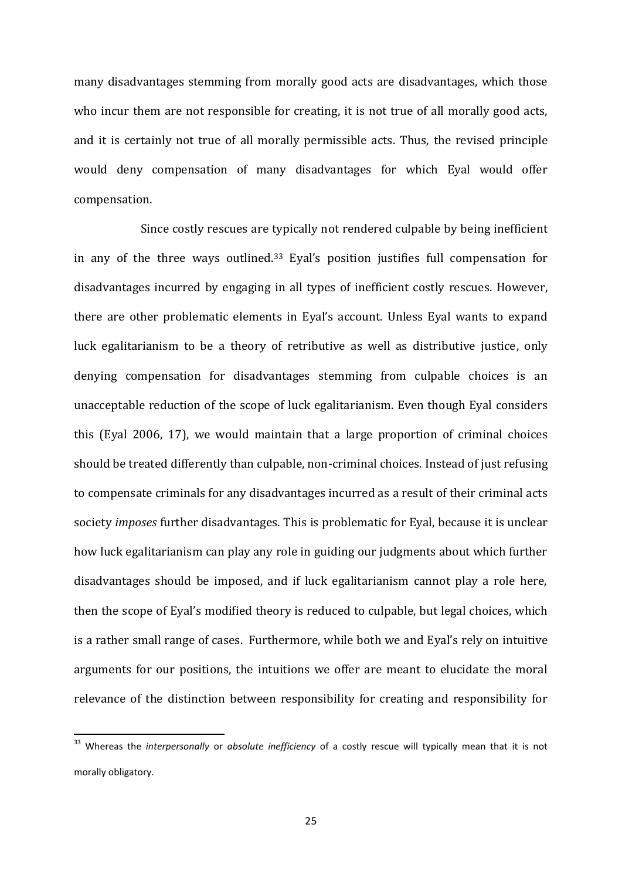many disadvantages stemming from morally good acts are disadvantages, which those who incur them are not responsible for creating, it is not true of all morally good acts, and it is certainly not true of all morally permissible acts. Thus, the revised principle would deny compensation of many disadvantages for which Eyal would offer compensation.

Since costly rescues are typically not rendered culpable by being inefficient in any of the three ways outlined.<sup>33</sup> Eyal's position justifies full compensation for disadvantages incurred by engaging in all types of inefficient costly rescues. However, there are other problematic elements in Eyal's account. Unless Eyal wants to expand luck egalitarianism to be a theory of retributive as well as distributive justice, only denying compensation for disadvantages stemming from culpable choices is an unacceptable reduction of the scope of luck egalitarianism. Even though Eyal considers this (Eyal 2006, 17), we would maintain that a large proportion of criminal choices should be treated differently than culpable, non-criminal choices. Instead of just refusing to compensate criminals for any disadvantages incurred as a result of their criminal acts society *imposes* further disadvantages. This is problematic for Eyal, because it is unclear how luck egalitarianism can play any role in guiding our judgments about which further disadvantages should be imposed, and if luck egalitarianism cannot play a role here, then the scope of Eyal's modified theory is reduced to culpable, but legal choices, which is a rather small range of cases. Furthermore, while both we and Eyal's rely on intuitive arguments for our positions, the intuitions we offer are meant to elucidate the moral relevance of the distinction between responsibility for creating and responsibility for

 $\overline{a}$ 

<sup>33</sup> Whereas the *interpersonally* or *absolute inefficiency* of a costly rescue will typically mean that it is not morally obligatory.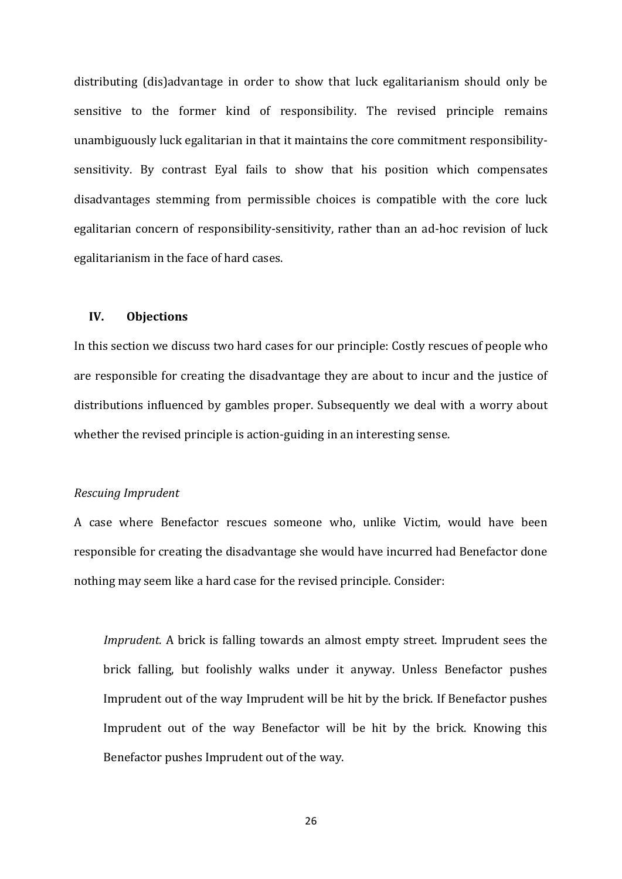distributing (dis)advantage in order to show that luck egalitarianism should only be sensitive to the former kind of responsibility. The revised principle remains unambiguously luck egalitarian in that it maintains the core commitment responsibilitysensitivity. By contrast Eyal fails to show that his position which compensates disadvantages stemming from permissible choices is compatible with the core luck egalitarian concern of responsibility-sensitivity, rather than an ad-hoc revision of luck egalitarianism in the face of hard cases.

# **IV. Objections**

In this section we discuss two hard cases for our principle: Costly rescues of people who are responsible for creating the disadvantage they are about to incur and the justice of distributions influenced by gambles proper. Subsequently we deal with a worry about whether the revised principle is action-guiding in an interesting sense.

## *Rescuing Imprudent*

A case where Benefactor rescues someone who, unlike Victim, would have been responsible for creating the disadvantage she would have incurred had Benefactor done nothing may seem like a hard case for the revised principle. Consider:

*Imprudent.* A brick is falling towards an almost empty street. Imprudent sees the brick falling, but foolishly walks under it anyway. Unless Benefactor pushes Imprudent out of the way Imprudent will be hit by the brick. If Benefactor pushes Imprudent out of the way Benefactor will be hit by the brick. Knowing this Benefactor pushes Imprudent out of the way.

26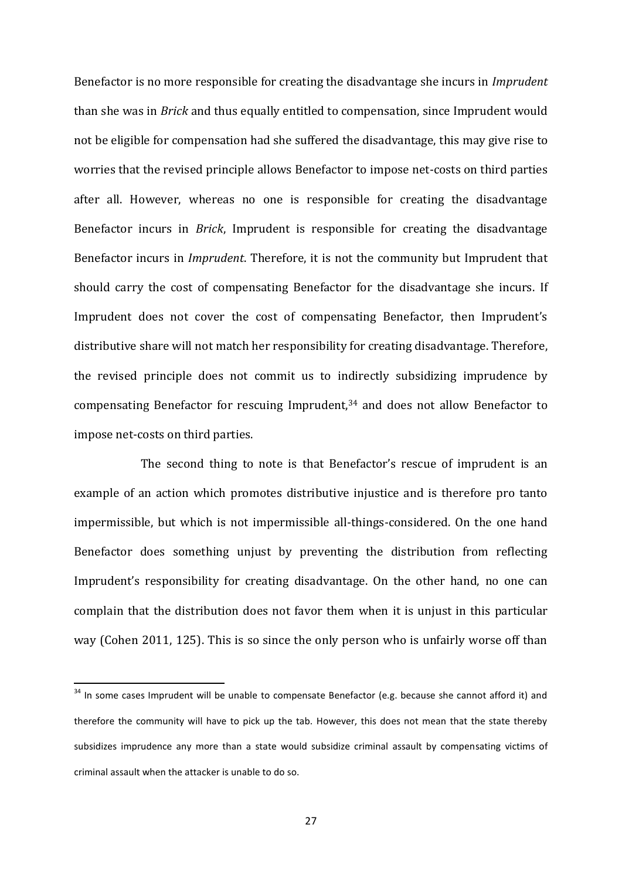Benefactor is no more responsible for creating the disadvantage she incurs in *Imprudent*  than she was in *Brick* and thus equally entitled to compensation, since Imprudent would not be eligible for compensation had she suffered the disadvantage, this may give rise to worries that the revised principle allows Benefactor to impose net-costs on third parties after all. However, whereas no one is responsible for creating the disadvantage Benefactor incurs in *Brick*, Imprudent is responsible for creating the disadvantage Benefactor incurs in *Imprudent*. Therefore, it is not the community but Imprudent that should carry the cost of compensating Benefactor for the disadvantage she incurs. If Imprudent does not cover the cost of compensating Benefactor, then Imprudent's distributive share will not match her responsibility for creating disadvantage. Therefore, the revised principle does not commit us to indirectly subsidizing imprudence by compensating Benefactor for rescuing Imprudent,<sup>34</sup> and does not allow Benefactor to impose net-costs on third parties.

The second thing to note is that Benefactor's rescue of imprudent is an example of an action which promotes distributive injustice and is therefore pro tanto impermissible, but which is not impermissible all-things-considered. On the one hand Benefactor does something unjust by preventing the distribution from reflecting Imprudent's responsibility for creating disadvantage. On the other hand, no one can complain that the distribution does not favor them when it is unjust in this particular way (Cohen 2011, 125). This is so since the only person who is unfairly worse off than

<sup>&</sup>lt;sup>34</sup> In some cases Imprudent will be unable to compensate Benefactor (e.g. because she cannot afford it) and therefore the community will have to pick up the tab. However, this does not mean that the state thereby subsidizes imprudence any more than a state would subsidize criminal assault by compensating victims of criminal assault when the attacker is unable to do so.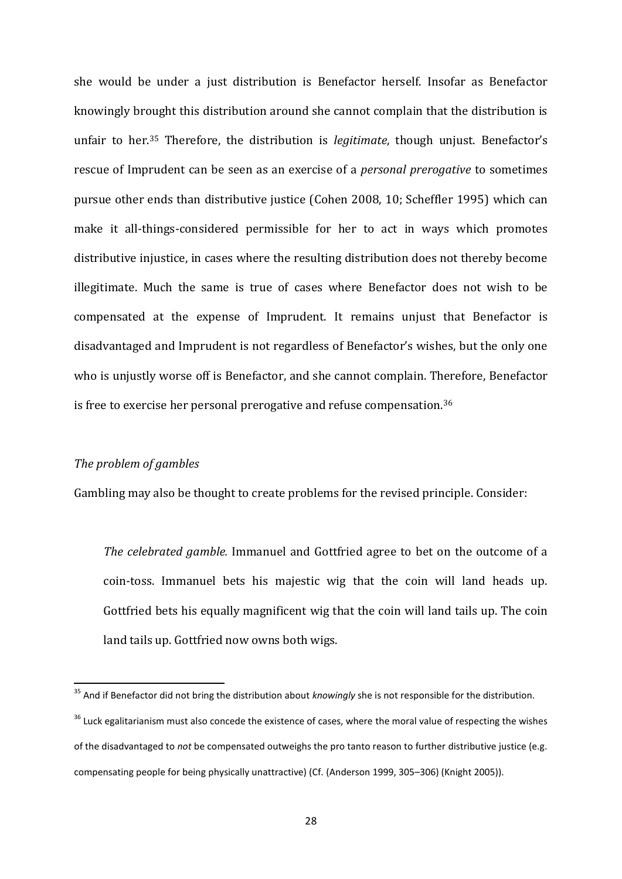she would be under a just distribution is Benefactor herself. Insofar as Benefactor knowingly brought this distribution around she cannot complain that the distribution is unfair to her.<sup>35</sup> Therefore, the distribution is *legitimate*, though unjust. Benefactor's rescue of Imprudent can be seen as an exercise of a *personal prerogative* to sometimes pursue other ends than distributive justice (Cohen 2008, 10; Scheffler 1995) which can make it all-things-considered permissible for her to act in ways which promotes distributive injustice, in cases where the resulting distribution does not thereby become illegitimate. Much the same is true of cases where Benefactor does not wish to be compensated at the expense of Imprudent. It remains unjust that Benefactor is disadvantaged and Imprudent is not regardless of Benefactor's wishes, but the only one who is unjustly worse off is Benefactor, and she cannot complain. Therefore, Benefactor is free to exercise her personal prerogative and refuse compensation.<sup>36</sup>

# *The problem of gambles*

 $\overline{\phantom{a}}$ 

Gambling may also be thought to create problems for the revised principle. Consider:

*The celebrated gamble.* Immanuel and Gottfried agree to bet on the outcome of a coin-toss. Immanuel bets his majestic wig that the coin will land heads up. Gottfried bets his equally magnificent wig that the coin will land tails up. The coin land tails up. Gottfried now owns both wigs.

<sup>35</sup> And if Benefactor did not bring the distribution about *knowingly* she is not responsible for the distribution.

<sup>&</sup>lt;sup>36</sup> Luck egalitarianism must also concede the existence of cases, where the moral value of respecting the wishes of the disadvantaged to *not* be compensated outweighs the pro tanto reason to further distributive justice (e.g. compensating people for being physically unattractive) (Cf. (Anderson 1999, 305–306) (Knight 2005)).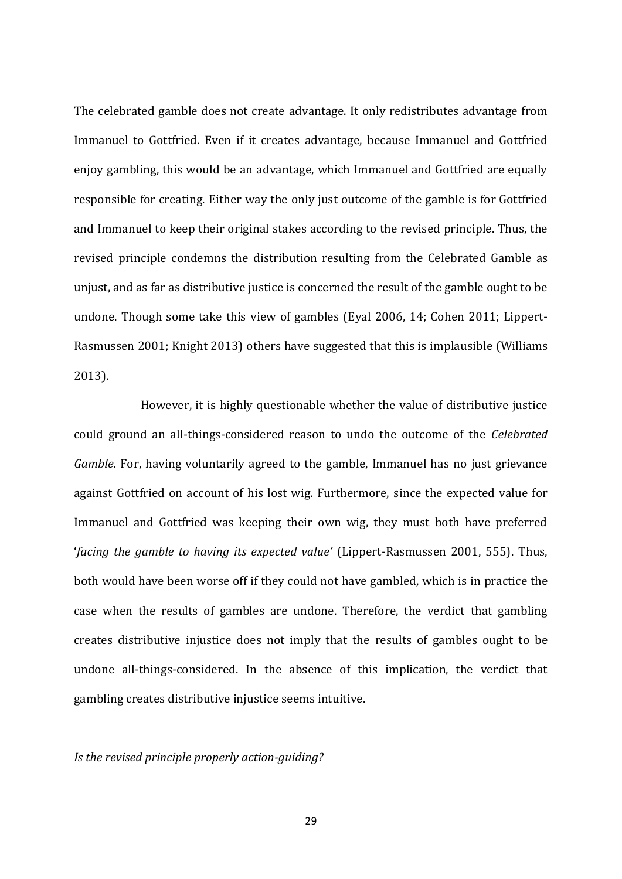The celebrated gamble does not create advantage. It only redistributes advantage from Immanuel to Gottfried. Even if it creates advantage, because Immanuel and Gottfried enjoy gambling, this would be an advantage, which Immanuel and Gottfried are equally responsible for creating. Either way the only just outcome of the gamble is for Gottfried and Immanuel to keep their original stakes according to the revised principle. Thus, the revised principle condemns the distribution resulting from the Celebrated Gamble as unjust, and as far as distributive justice is concerned the result of the gamble ought to be undone. Though some take this view of gambles (Eyal 2006, 14; Cohen 2011; Lippert-Rasmussen 2001; Knight 2013) others have suggested that this is implausible (Williams 2013).

However, it is highly questionable whether the value of distributive justice could ground an all-things-considered reason to undo the outcome of the *Celebrated Gamble*. For, having voluntarily agreed to the gamble, Immanuel has no just grievance against Gottfried on account of his lost wig. Furthermore, since the expected value for Immanuel and Gottfried was keeping their own wig, they must both have preferred '*facing the gamble to having its expected value'* (Lippert-Rasmussen 2001, 555). Thus, both would have been worse off if they could not have gambled, which is in practice the case when the results of gambles are undone. Therefore, the verdict that gambling creates distributive injustice does not imply that the results of gambles ought to be undone all-things-considered. In the absence of this implication, the verdict that gambling creates distributive injustice seems intuitive.

# *Is the revised principle properly action-guiding?*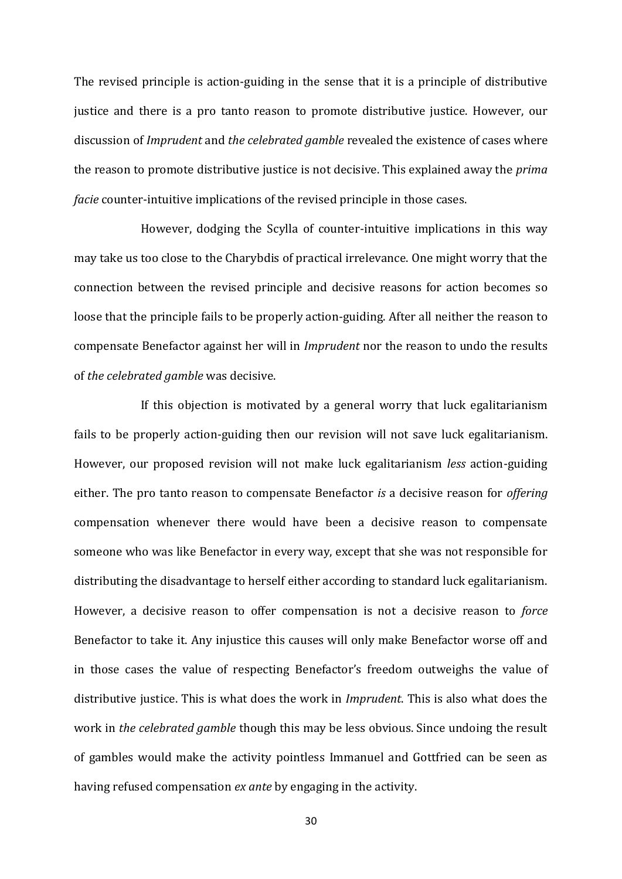The revised principle is action-guiding in the sense that it is a principle of distributive justice and there is a pro tanto reason to promote distributive justice. However, our discussion of *Imprudent* and *the celebrated gamble* revealed the existence of cases where the reason to promote distributive justice is not decisive. This explained away the *prima facie* counter-intuitive implications of the revised principle in those cases.

However, dodging the Scylla of counter-intuitive implications in this way may take us too close to the Charybdis of practical irrelevance. One might worry that the connection between the revised principle and decisive reasons for action becomes so loose that the principle fails to be properly action-guiding. After all neither the reason to compensate Benefactor against her will in *Imprudent* nor the reason to undo the results of *the celebrated gamble* was decisive.

If this objection is motivated by a general worry that luck egalitarianism fails to be properly action-guiding then our revision will not save luck egalitarianism. However, our proposed revision will not make luck egalitarianism *less* action-guiding either. The pro tanto reason to compensate Benefactor *is* a decisive reason for *offering*  compensation whenever there would have been a decisive reason to compensate someone who was like Benefactor in every way, except that she was not responsible for distributing the disadvantage to herself either according to standard luck egalitarianism. However, a decisive reason to offer compensation is not a decisive reason to *force*  Benefactor to take it. Any injustice this causes will only make Benefactor worse off and in those cases the value of respecting Benefactor's freedom outweighs the value of distributive justice. This is what does the work in *Imprudent*. This is also what does the work in *the celebrated gamble* though this may be less obvious. Since undoing the result of gambles would make the activity pointless Immanuel and Gottfried can be seen as having refused compensation *ex ante* by engaging in the activity.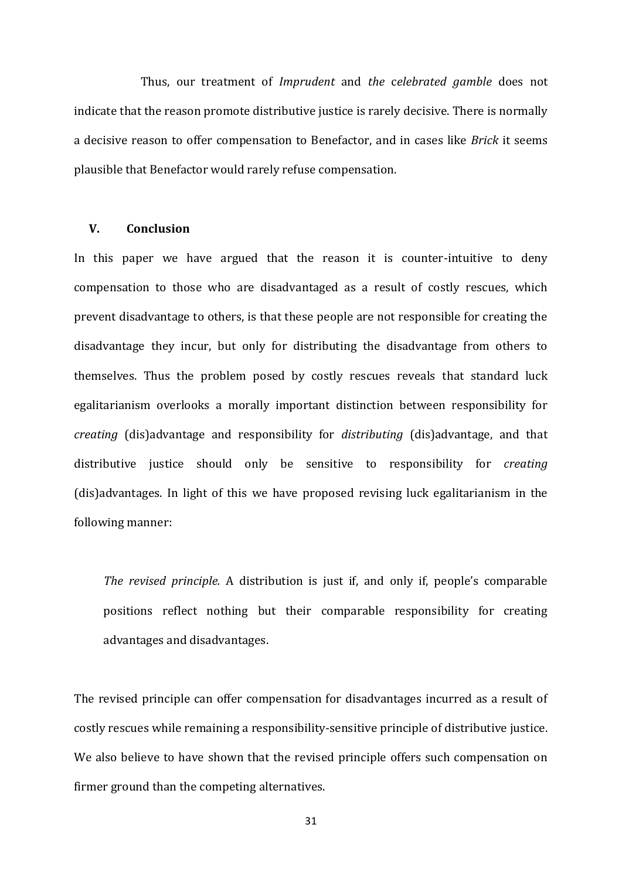Thus, our treatment of *Imprudent* and *the* c*elebrated gamble* does not indicate that the reason promote distributive justice is rarely decisive. There is normally a decisive reason to offer compensation to Benefactor, and in cases like *Brick* it seems plausible that Benefactor would rarely refuse compensation.

# **V. Conclusion**

In this paper we have argued that the reason it is counter-intuitive to deny compensation to those who are disadvantaged as a result of costly rescues, which prevent disadvantage to others, is that these people are not responsible for creating the disadvantage they incur, but only for distributing the disadvantage from others to themselves. Thus the problem posed by costly rescues reveals that standard luck egalitarianism overlooks a morally important distinction between responsibility for *creating* (dis)advantage and responsibility for *distributing* (dis)advantage, and that distributive justice should only be sensitive to responsibility for *creating*  (dis)advantages. In light of this we have proposed revising luck egalitarianism in the following manner:

*The revised principle.* A distribution is just if, and only if, people's comparable positions reflect nothing but their comparable responsibility for creating advantages and disadvantages.

The revised principle can offer compensation for disadvantages incurred as a result of costly rescues while remaining a responsibility-sensitive principle of distributive justice. We also believe to have shown that the revised principle offers such compensation on firmer ground than the competing alternatives.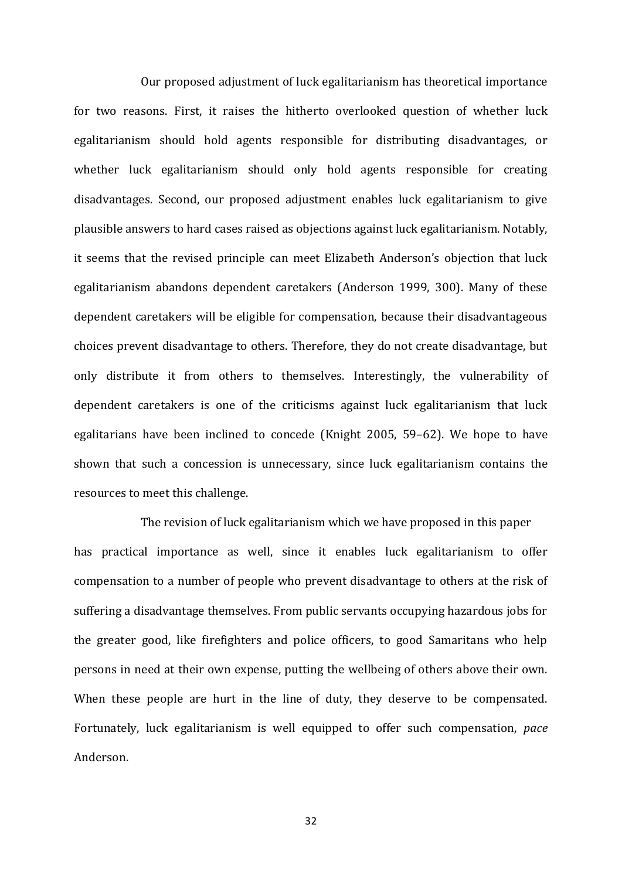Our proposed adjustment of luck egalitarianism has theoretical importance for two reasons. First, it raises the hitherto overlooked question of whether luck egalitarianism should hold agents responsible for distributing disadvantages, or whether luck egalitarianism should only hold agents responsible for creating disadvantages. Second, our proposed adjustment enables luck egalitarianism to give plausible answers to hard cases raised as objections against luck egalitarianism. Notably, it seems that the revised principle can meet Elizabeth Anderson's objection that luck egalitarianism abandons dependent caretakers (Anderson 1999, 300). Many of these dependent caretakers will be eligible for compensation, because their disadvantageous choices prevent disadvantage to others. Therefore, they do not create disadvantage, but only distribute it from others to themselves. Interestingly, the vulnerability of dependent caretakers is one of the criticisms against luck egalitarianism that luck egalitarians have been inclined to concede (Knight 2005, 59–62). We hope to have shown that such a concession is unnecessary, since luck egalitarianism contains the resources to meet this challenge.

The revision of luck egalitarianism which we have proposed in this paper has practical importance as well, since it enables luck egalitarianism to offer compensation to a number of people who prevent disadvantage to others at the risk of suffering a disadvantage themselves. From public servants occupying hazardous jobs for the greater good, like firefighters and police officers, to good Samaritans who help persons in need at their own expense, putting the wellbeing of others above their own. When these people are hurt in the line of duty, they deserve to be compensated. Fortunately, luck egalitarianism is well equipped to offer such compensation, *pace*  Anderson.

32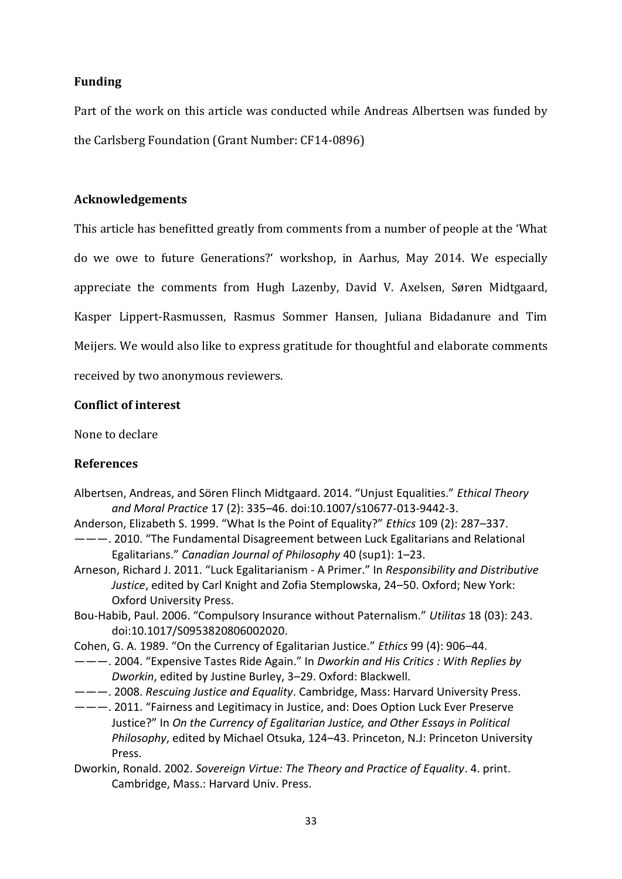# **Funding**

Part of the work on this article was conducted while Andreas Albertsen was funded by the Carlsberg Foundation (Grant Number: CF14-0896)

# **Acknowledgements**

This article has benefitted greatly from comments from a number of people at the 'What do we owe to future Generations?' workshop, in Aarhus, May 2014. We especially appreciate the comments from Hugh Lazenby, David V. Axelsen, Søren Midtgaard, Kasper Lippert-Rasmussen, Rasmus Sommer Hansen, Juliana Bidadanure and Tim Meijers. We would also like to express gratitude for thoughtful and elaborate comments received by two anonymous reviewers.

# **Conflict of interest**

None to declare

# **References**

- Albertsen, Andreas, and Sören Flinch Midtgaard. 2014. "Unjust Equalities." *Ethical Theory and Moral Practice* 17 (2): 335–46. doi:10.1007/s10677-013-9442-3.
- Anderson, Elizabeth S. 1999. "What Is the Point of Equality?" *Ethics* 109 (2): 287–337.
- ———. 2010. "The Fundamental Disagreement between Luck Egalitarians and Relational Egalitarians." *Canadian Journal of Philosophy* 40 (sup1): 1–23.
- Arneson, Richard J. 2011. "Luck Egalitarianism A Primer." In *Responsibility and Distributive Justice*, edited by Carl Knight and Zofia Stemplowska, 24–50. Oxford; New York: Oxford University Press.
- Bou-Habib, Paul. 2006. "Compulsory Insurance without Paternalism." *Utilitas* 18 (03): 243. doi:10.1017/S0953820806002020.
- Cohen, G. A. 1989. "On the Currency of Egalitarian Justice." *Ethics* 99 (4): 906–44.
- ———. 2004. "Expensive Tastes Ride Again." In *Dworkin and His Critics : With Replies by Dworkin*, edited by Justine Burley, 3–29. Oxford: Blackwell.
- ———. 2008. *Rescuing Justice and Equality*. Cambridge, Mass: Harvard University Press.
- ———. 2011. "Fairness and Legitimacy in Justice, and: Does Option Luck Ever Preserve Justice?" In *On the Currency of Egalitarian Justice, and Other Essays in Political Philosophy*, edited by Michael Otsuka, 124–43. Princeton, N.J: Princeton University Press.
- Dworkin, Ronald. 2002. *Sovereign Virtue: The Theory and Practice of Equality*. 4. print. Cambridge, Mass.: Harvard Univ. Press.